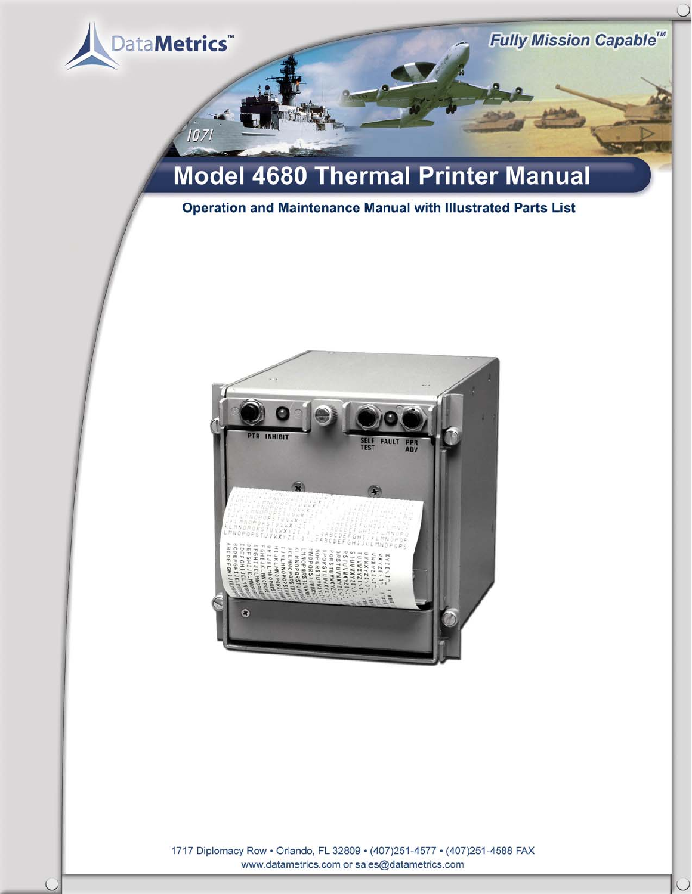

 $107$ 

# **Model 4680 Thermal Printer Manual**

# **Operation and Maintenance Manual with Illustrated Parts List**



1717 Diplomacy Row • Orlando, FL 32809 • (407)251-4577 • (407)251-4588 FAX<br>www.datametrics.com or sales@datametrics.com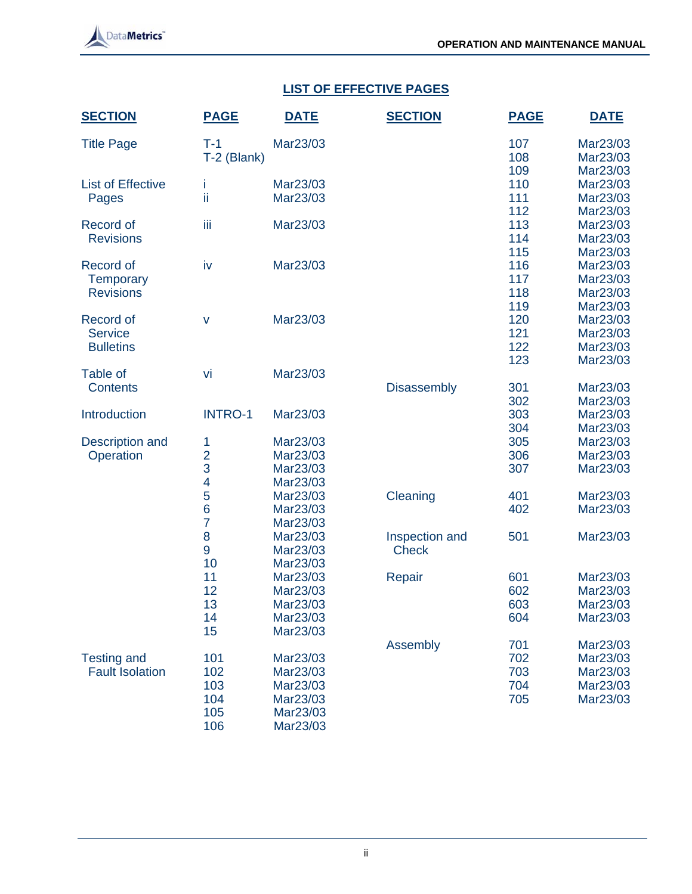

# **LIST OF EFFECTIVE PAGES**

| <b>SECTION</b>           | <b>PAGE</b>    | <b>DATE</b> | <b>SECTION</b>     | <b>PAGE</b> | <b>DATE</b>          |
|--------------------------|----------------|-------------|--------------------|-------------|----------------------|
| <b>Title Page</b>        | $T-1$          | Mar23/03    |                    | 107         | Mar23/03             |
|                          | T-2 (Blank)    |             |                    | 108         | Mar23/03             |
| <b>List of Effective</b> |                | Mar23/03    |                    | 109<br>110  | Mar23/03<br>Mar23/03 |
| Pages                    | İ.<br>ii       | Mar23/03    |                    | 111         | Mar23/03             |
|                          |                |             |                    | 112         | Mar23/03             |
| Record of                | Ϊij            | Mar23/03    |                    | 113         | Mar23/03             |
| <b>Revisions</b>         |                |             |                    | 114         | Mar23/03             |
|                          |                |             |                    | 115         | Mar23/03             |
| Record of                | iv             | Mar23/03    |                    | 116         | Mar23/03             |
| <b>Temporary</b>         |                |             |                    | 117         | Mar23/03             |
| <b>Revisions</b>         |                |             |                    | 118         | Mar23/03             |
|                          |                |             |                    | 119         | Mar23/03             |
| Record of                | v              | Mar23/03    |                    | 120         | Mar23/03             |
| <b>Service</b>           |                |             |                    | 121         | Mar23/03             |
| <b>Bulletins</b>         |                |             |                    | 122         | Mar23/03             |
|                          |                |             |                    | 123         | Mar23/03             |
| Table of                 | vi             | Mar23/03    |                    |             |                      |
| <b>Contents</b>          |                |             | <b>Disassembly</b> | 301         | Mar23/03             |
| Introduction             | <b>INTRO-1</b> | Mar23/03    |                    | 302<br>303  | Mar23/03<br>Mar23/03 |
|                          |                |             |                    | 304         | Mar23/03             |
| Description and          | 1              | Mar23/03    |                    | 305         | Mar23/03             |
| Operation                | $\overline{2}$ | Mar23/03    |                    | 306         | Mar23/03             |
|                          | 3              | Mar23/03    |                    | 307         | Mar23/03             |
|                          | 4              | Mar23/03    |                    |             |                      |
|                          | 5              | Mar23/03    | Cleaning           | 401         | Mar23/03             |
|                          | 6              | Mar23/03    |                    | 402         | Mar23/03             |
|                          | $\overline{7}$ | Mar23/03    |                    |             |                      |
|                          | 8              | Mar23/03    | Inspection and     | 501         | Mar23/03             |
|                          | 9              | Mar23/03    | <b>Check</b>       |             |                      |
|                          | 10             | Mar23/03    |                    |             |                      |
|                          | 11             | Mar23/03    | Repair             | 601         | Mar23/03             |
|                          | 12             | Mar23/03    |                    | 602         | Mar23/03             |
|                          | 13             | Mar23/03    |                    | 603         | Mar23/03             |
|                          | 14             | Mar23/03    |                    | 604         | Mar23/03             |
|                          | 15             | Mar23/03    |                    |             |                      |
| <b>Testing and</b>       | 101            | Mar23/03    | Assembly           | 701<br>702  | Mar23/03<br>Mar23/03 |
| <b>Fault Isolation</b>   | 102            | Mar23/03    |                    | 703         | Mar23/03             |
|                          | 103            | Mar23/03    |                    | 704         | Mar23/03             |
|                          | 104            | Mar23/03    |                    | 705         | Mar23/03             |
|                          | 105            | Mar23/03    |                    |             |                      |
|                          | 106            | Mar23/03    |                    |             |                      |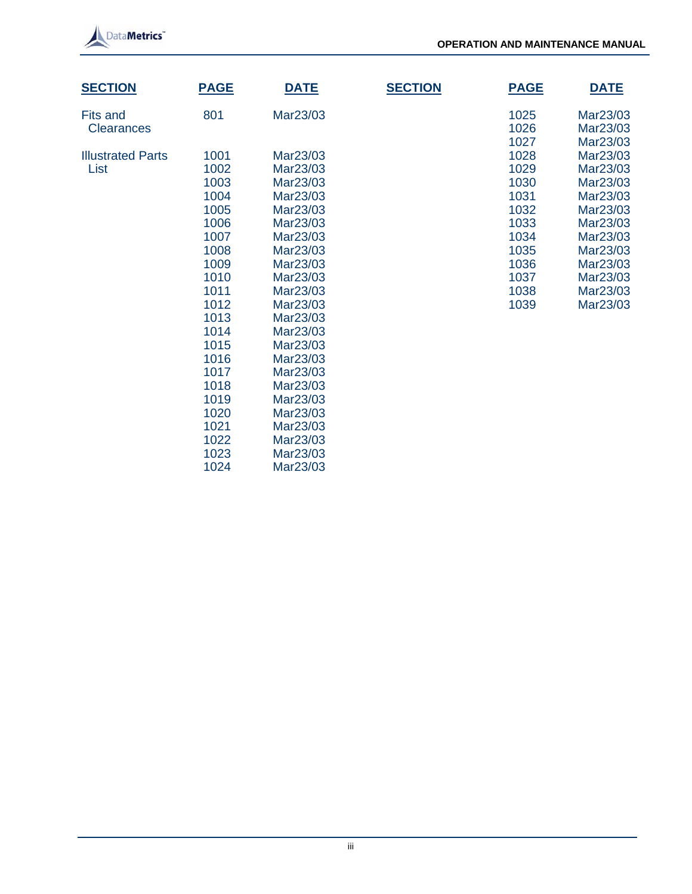

| <b>SECTION</b>                   | <b>PAGE</b>                                                                                                                  | <b>DATE</b>                                                                                                                                                                                  | <b>SECTION</b> | <b>PAGE</b>                                                                                          | <b>DATE</b>                                                                                                                                              |
|----------------------------------|------------------------------------------------------------------------------------------------------------------------------|----------------------------------------------------------------------------------------------------------------------------------------------------------------------------------------------|----------------|------------------------------------------------------------------------------------------------------|----------------------------------------------------------------------------------------------------------------------------------------------------------|
| Fits and<br><b>Clearances</b>    | 801                                                                                                                          | Mar23/03                                                                                                                                                                                     |                | 1025<br>1026                                                                                         | Mar23/03<br>Mar23/03                                                                                                                                     |
| <b>Illustrated Parts</b><br>List | 1001<br>1002<br>1003<br>1004<br>1005<br>1006<br>1007<br>1008<br>1009<br>1010<br>1011<br>1012<br>1013<br>1014<br>1015<br>1016 | Mar23/03<br>Mar23/03<br>Mar23/03<br>Mar23/03<br>Mar23/03<br>Mar23/03<br>Mar23/03<br>Mar23/03<br>Mar23/03<br>Mar23/03<br>Mar23/03<br>Mar23/03<br>Mar23/03<br>Mar23/03<br>Mar23/03<br>Mar23/03 |                | 1027<br>1028<br>1029<br>1030<br>1031<br>1032<br>1033<br>1034<br>1035<br>1036<br>1037<br>1038<br>1039 | Mar23/03<br>Mar23/03<br>Mar23/03<br>Mar23/03<br>Mar23/03<br>Mar23/03<br>Mar23/03<br>Mar23/03<br>Mar23/03<br>Mar23/03<br>Mar23/03<br>Mar23/03<br>Mar23/03 |
|                                  | 1017<br>1018<br>1019<br>1020<br>1021<br>1022<br>1023<br>1024                                                                 | Mar23/03<br>Mar23/03<br>Mar23/03<br>Mar23/03<br>Mar23/03<br>Mar23/03<br>Mar23/03<br>Mar23/03                                                                                                 |                |                                                                                                      |                                                                                                                                                          |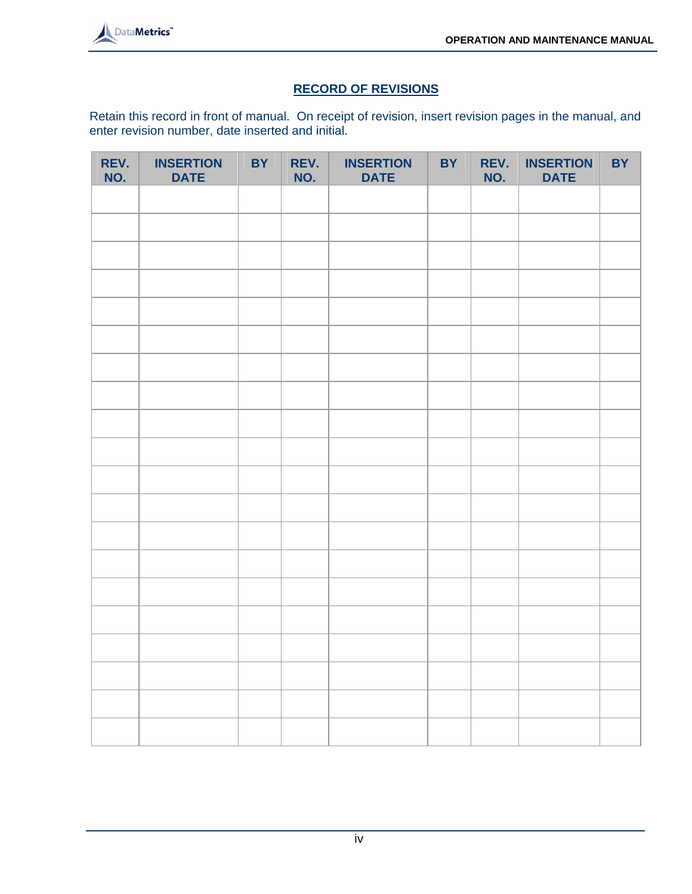

# **RECORD OF REVISIONS**

Retain this record in front of manual. On receipt of revision, insert revision pages in the manual, and enter revision number, date inserted and initial.

| REV.<br>NO. | <b>INSERTION</b><br><b>DATE</b> | <b>BY</b> | REV.<br>NO. | <b>INSERTION</b><br><b>DATE</b> | <b>BY</b> | REV.<br>NO. | <b>INSERTION</b><br><b>DATE</b> | <b>BY</b> |
|-------------|---------------------------------|-----------|-------------|---------------------------------|-----------|-------------|---------------------------------|-----------|
|             |                                 |           |             |                                 |           |             |                                 |           |
|             |                                 |           |             |                                 |           |             |                                 |           |
|             |                                 |           |             |                                 |           |             |                                 |           |
|             |                                 |           |             |                                 |           |             |                                 |           |
|             |                                 |           |             |                                 |           |             |                                 |           |
|             |                                 |           |             |                                 |           |             |                                 |           |
|             |                                 |           |             |                                 |           |             |                                 |           |
|             |                                 |           |             |                                 |           |             |                                 |           |
|             |                                 |           |             |                                 |           |             |                                 |           |
|             |                                 |           |             |                                 |           |             |                                 |           |
|             |                                 |           |             |                                 |           |             |                                 |           |
|             |                                 |           |             |                                 |           |             |                                 |           |
|             |                                 |           |             |                                 |           |             |                                 |           |
|             |                                 |           |             |                                 |           |             |                                 |           |
|             |                                 |           |             |                                 |           |             |                                 |           |
|             |                                 |           |             |                                 |           |             |                                 |           |
|             |                                 |           |             |                                 |           |             |                                 |           |
|             |                                 |           |             |                                 |           |             |                                 |           |
|             |                                 |           |             |                                 |           |             |                                 |           |
|             |                                 |           |             |                                 |           |             |                                 |           |
|             |                                 |           |             |                                 |           |             |                                 |           |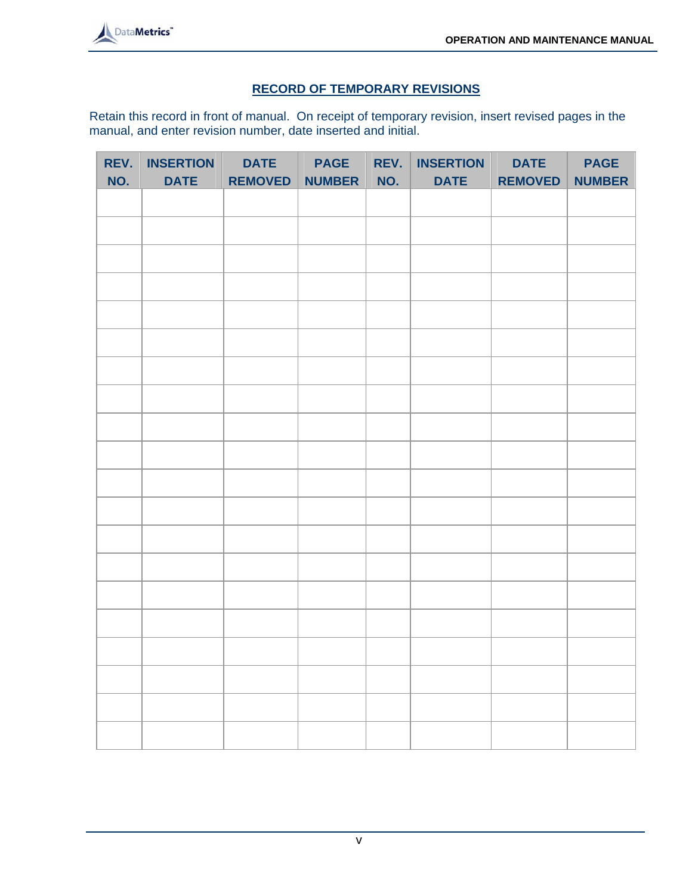

# **RECORD OF TEMPORARY REVISIONS**

Retain this record in front of manual. On receipt of temporary revision, insert revised pages in the manual, and enter revision number, date inserted and initial.

| REV.<br>NO. | <b>INSERTION</b><br><b>DATE</b> | <b>DATE</b><br><b>REMOVED</b> | <b>PAGE</b><br><b>NUMBER</b> | REV.<br>NO. | <b>INSERTION</b><br><b>DATE</b> | <b>DATE</b><br><b>REMOVED</b> | <b>PAGE</b><br><b>NUMBER</b> |
|-------------|---------------------------------|-------------------------------|------------------------------|-------------|---------------------------------|-------------------------------|------------------------------|
|             |                                 |                               |                              |             |                                 |                               |                              |
|             |                                 |                               |                              |             |                                 |                               |                              |
|             |                                 |                               |                              |             |                                 |                               |                              |
|             |                                 |                               |                              |             |                                 |                               |                              |
|             |                                 |                               |                              |             |                                 |                               |                              |
|             |                                 |                               |                              |             |                                 |                               |                              |
|             |                                 |                               |                              |             |                                 |                               |                              |
|             |                                 |                               |                              |             |                                 |                               |                              |
|             |                                 |                               |                              |             |                                 |                               |                              |
|             |                                 |                               |                              |             |                                 |                               |                              |
|             |                                 |                               |                              |             |                                 |                               |                              |
|             |                                 |                               |                              |             |                                 |                               |                              |
|             |                                 |                               |                              |             |                                 |                               |                              |
|             |                                 |                               |                              |             |                                 |                               |                              |
|             |                                 |                               |                              |             |                                 |                               |                              |
|             |                                 |                               |                              |             |                                 |                               |                              |
|             |                                 |                               |                              |             |                                 |                               |                              |
|             |                                 |                               |                              |             |                                 |                               |                              |
|             |                                 |                               |                              |             |                                 |                               |                              |
|             |                                 |                               |                              |             |                                 |                               |                              |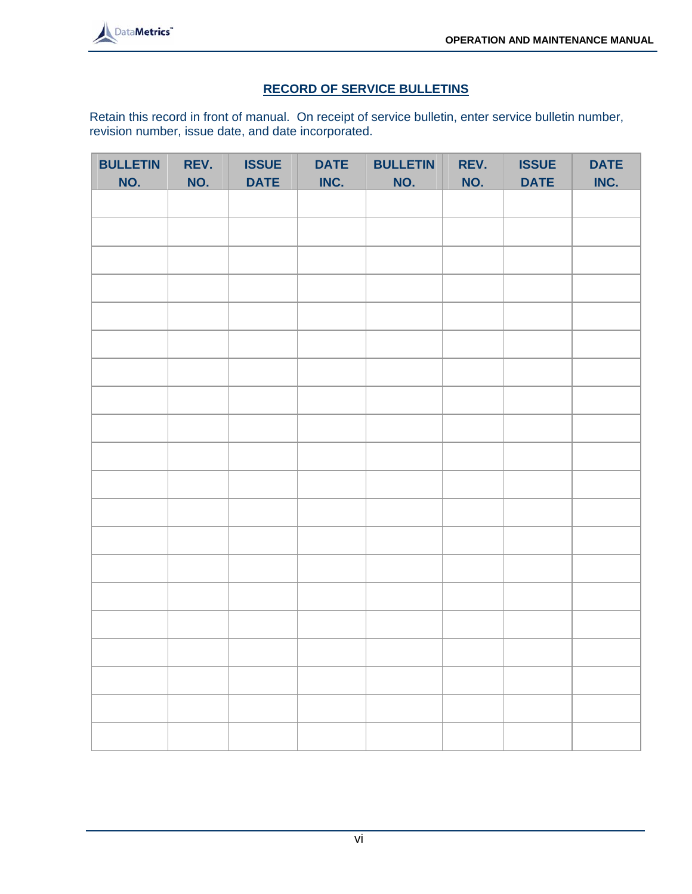

# **RECORD OF SERVICE BULLETINS**

Retain this record in front of manual. On receipt of service bulletin, enter service bulletin number, revision number, issue date, and date incorporated.

| <b>BULLETIN</b> | REV. | <b>ISSUE</b> | <b>DATE</b> | <b>BULLETIN</b> | REV. | <b>ISSUE</b> | <b>DATE</b> |
|-----------------|------|--------------|-------------|-----------------|------|--------------|-------------|
| NO.             | NO.  | <b>DATE</b>  | INC.        | NO.             | NO.  | <b>DATE</b>  | INC.        |
|                 |      |              |             |                 |      |              |             |
|                 |      |              |             |                 |      |              |             |
|                 |      |              |             |                 |      |              |             |
|                 |      |              |             |                 |      |              |             |
|                 |      |              |             |                 |      |              |             |
|                 |      |              |             |                 |      |              |             |
|                 |      |              |             |                 |      |              |             |
|                 |      |              |             |                 |      |              |             |
|                 |      |              |             |                 |      |              |             |
|                 |      |              |             |                 |      |              |             |
|                 |      |              |             |                 |      |              |             |
|                 |      |              |             |                 |      |              |             |
|                 |      |              |             |                 |      |              |             |
|                 |      |              |             |                 |      |              |             |
|                 |      |              |             |                 |      |              |             |
|                 |      |              |             |                 |      |              |             |
|                 |      |              |             |                 |      |              |             |
|                 |      |              |             |                 |      |              |             |
|                 |      |              |             |                 |      |              |             |
|                 |      |              |             |                 |      |              |             |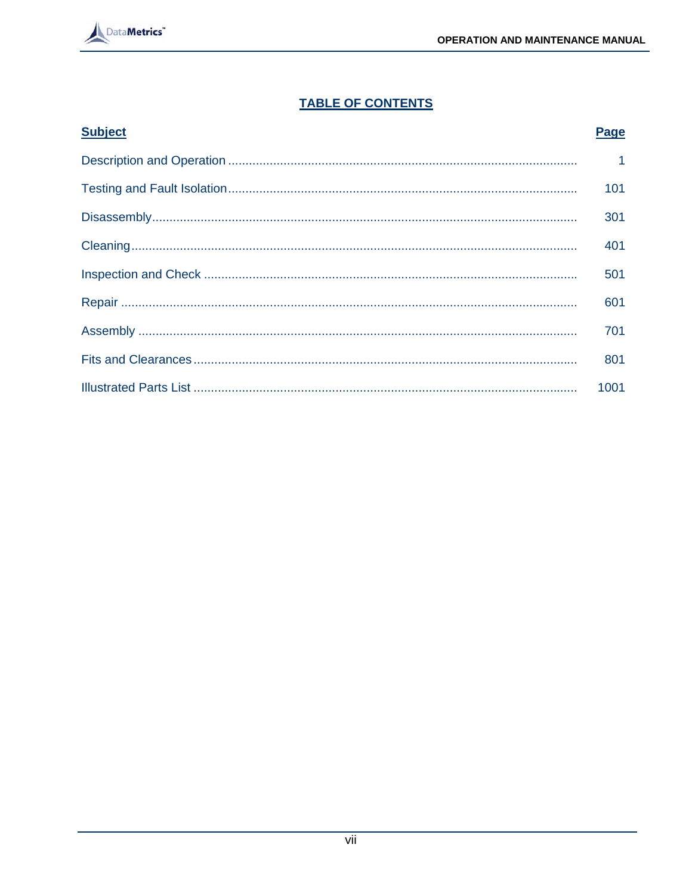

# **TABLE OF CONTENTS**

| <b>Subject</b> | Page           |
|----------------|----------------|
|                | $\overline{1}$ |
|                | 101            |
|                | 301            |
|                | 401            |
|                | 501            |
|                | 601            |
|                | 701            |
|                | 801            |
|                | 1001           |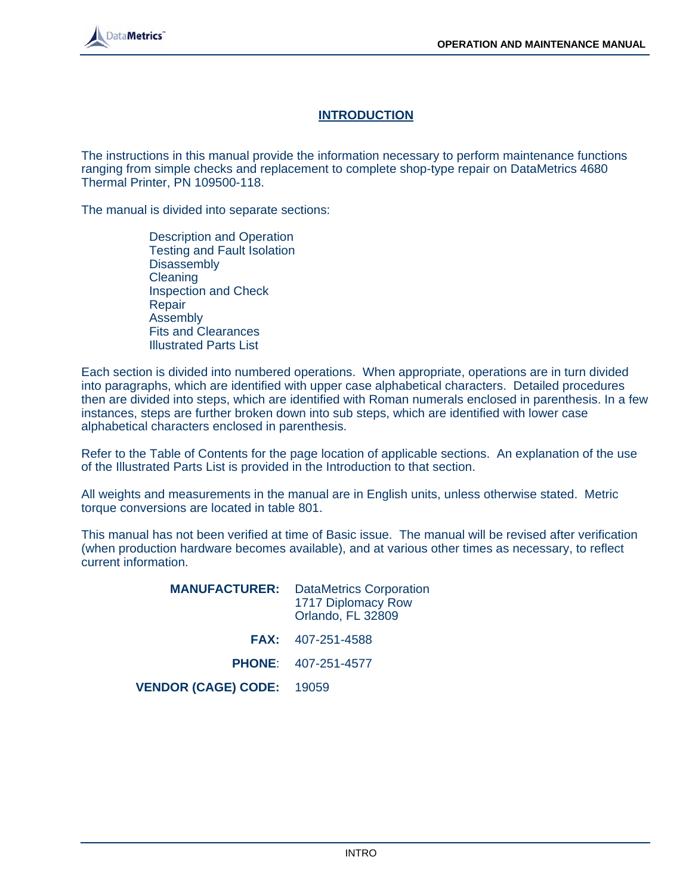# **INTRODUCTION**

The instructions in this manual provide the information necessary to perform maintenance functions ranging from simple checks and replacement to complete shop-type repair on DataMetrics 4680 Thermal Printer, PN 109500-118.

The manual is divided into separate sections:

 Description and Operation Testing and Fault Isolation **Disassembly**  Cleaning Inspection and Check Repair Assembly Fits and Clearances Illustrated Parts List

Each section is divided into numbered operations. When appropriate, operations are in turn divided into paragraphs, which are identified with upper case alphabetical characters. Detailed procedures then are divided into steps, which are identified with Roman numerals enclosed in parenthesis. In a few instances, steps are further broken down into sub steps, which are identified with lower case alphabetical characters enclosed in parenthesis.

Refer to the Table of Contents for the page location of applicable sections. An explanation of the use of the Illustrated Parts List is provided in the Introduction to that section.

All weights and measurements in the manual are in English units, unless otherwise stated. Metric torque conversions are located in table 801.

This manual has not been verified at time of Basic issue. The manual will be revised after verification (when production hardware becomes available), and at various other times as necessary, to reflect current information.

|                           | <b>MANUFACTURER:</b> DataMetrics Corporation<br>1717 Diplomacy Row<br>Orlando, FL 32809 |
|---------------------------|-----------------------------------------------------------------------------------------|
|                           | <b>FAX:</b> 407-251-4588                                                                |
|                           | <b>PHONE:</b> 407-251-4577                                                              |
| VENDOR (CAGE) CODE: 19059 |                                                                                         |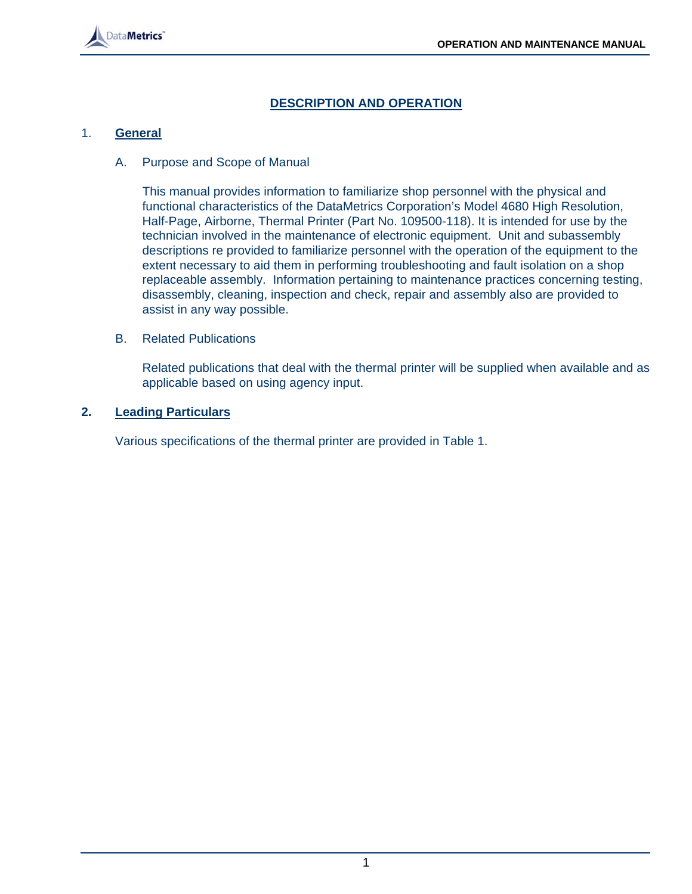# **DESCRIPTION AND OPERATION**

# 1. **General**

#### A. Purpose and Scope of Manual

This manual provides information to familiarize shop personnel with the physical and functional characteristics of the DataMetrics Corporation's Model 4680 High Resolution, Half-Page, Airborne, Thermal Printer (Part No. 109500-118). It is intended for use by the technician involved in the maintenance of electronic equipment. Unit and subassembly descriptions re provided to familiarize personnel with the operation of the equipment to the extent necessary to aid them in performing troubleshooting and fault isolation on a shop replaceable assembly. Information pertaining to maintenance practices concerning testing, disassembly, cleaning, inspection and check, repair and assembly also are provided to assist in any way possible.

#### B. Related Publications

Related publications that deal with the thermal printer will be supplied when available and as applicable based on using agency input.

#### **2. Leading Particulars**

Various specifications of the thermal printer are provided in Table 1.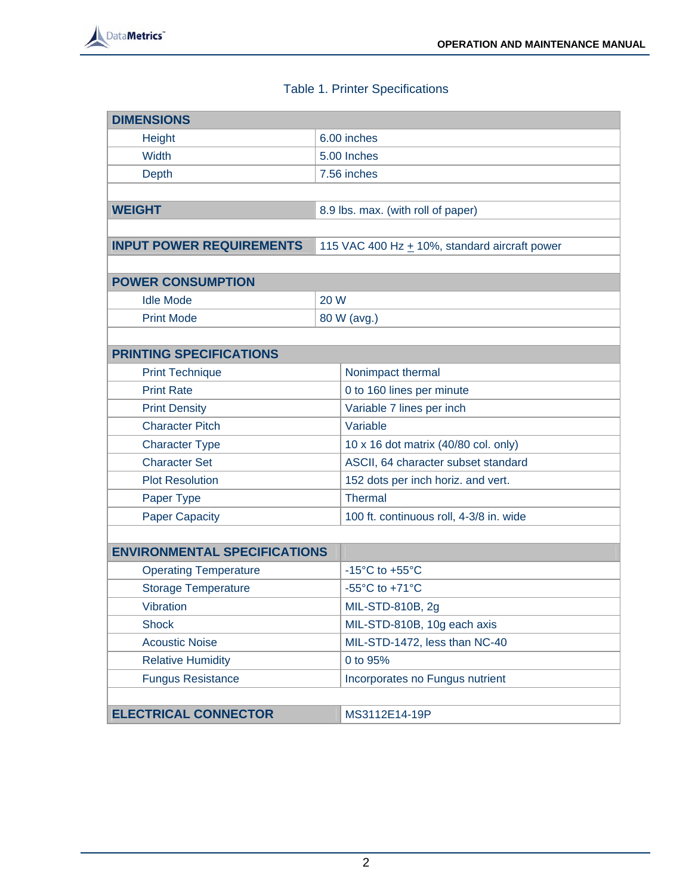

# Table 1. Printer Specifications

| <b>DIMENSIONS</b>                   |      |                                                      |  |  |
|-------------------------------------|------|------------------------------------------------------|--|--|
| Height                              |      | 6.00 inches                                          |  |  |
| <b>Width</b>                        |      | 5.00 Inches                                          |  |  |
| <b>Depth</b>                        |      | 7.56 inches                                          |  |  |
|                                     |      |                                                      |  |  |
| <b>WEIGHT</b>                       |      | 8.9 lbs. max. (with roll of paper)                   |  |  |
|                                     |      |                                                      |  |  |
| <b>INPUT POWER REQUIREMENTS</b>     |      | 115 VAC 400 Hz $\pm$ 10%, standard aircraft power    |  |  |
|                                     |      |                                                      |  |  |
| <b>POWER CONSUMPTION</b>            |      |                                                      |  |  |
| <b>Idle Mode</b>                    | 20 W |                                                      |  |  |
| <b>Print Mode</b>                   |      | 80 W (avg.)                                          |  |  |
|                                     |      |                                                      |  |  |
| <b>PRINTING SPECIFICATIONS</b>      |      |                                                      |  |  |
| <b>Print Technique</b>              |      | Nonimpact thermal                                    |  |  |
| <b>Print Rate</b>                   |      | 0 to 160 lines per minute                            |  |  |
| <b>Print Density</b>                |      | Variable 7 lines per inch                            |  |  |
| <b>Character Pitch</b>              |      | Variable                                             |  |  |
| <b>Character Type</b>               |      | 10 x 16 dot matrix (40/80 col. only)                 |  |  |
| <b>Character Set</b>                |      | ASCII, 64 character subset standard                  |  |  |
| <b>Plot Resolution</b>              |      | 152 dots per inch horiz. and vert.                   |  |  |
| Paper Type                          |      | <b>Thermal</b>                                       |  |  |
| <b>Paper Capacity</b>               |      | 100 ft. continuous roll, 4-3/8 in. wide              |  |  |
|                                     |      |                                                      |  |  |
| <b>ENVIRONMENTAL SPECIFICATIONS</b> |      |                                                      |  |  |
| <b>Operating Temperature</b>        |      | -15 $^{\circ}$ C to +55 $^{\circ}$ C                 |  |  |
| <b>Storage Temperature</b>          |      | -55 $\mathrm{^{\circ}C}$ to +71 $\mathrm{^{\circ}C}$ |  |  |
| <b>Vibration</b>                    |      | MIL-STD-810B, 2g                                     |  |  |
| <b>Shock</b>                        |      | MIL-STD-810B, 10g each axis                          |  |  |
| <b>Acoustic Noise</b>               |      | MIL-STD-1472, less than NC-40                        |  |  |
| <b>Relative Humidity</b>            |      | 0 to 95%                                             |  |  |
| <b>Fungus Resistance</b>            |      | Incorporates no Fungus nutrient                      |  |  |
|                                     |      |                                                      |  |  |
| <b>ELECTRICAL CONNECTOR</b>         |      | MS3112E14-19P                                        |  |  |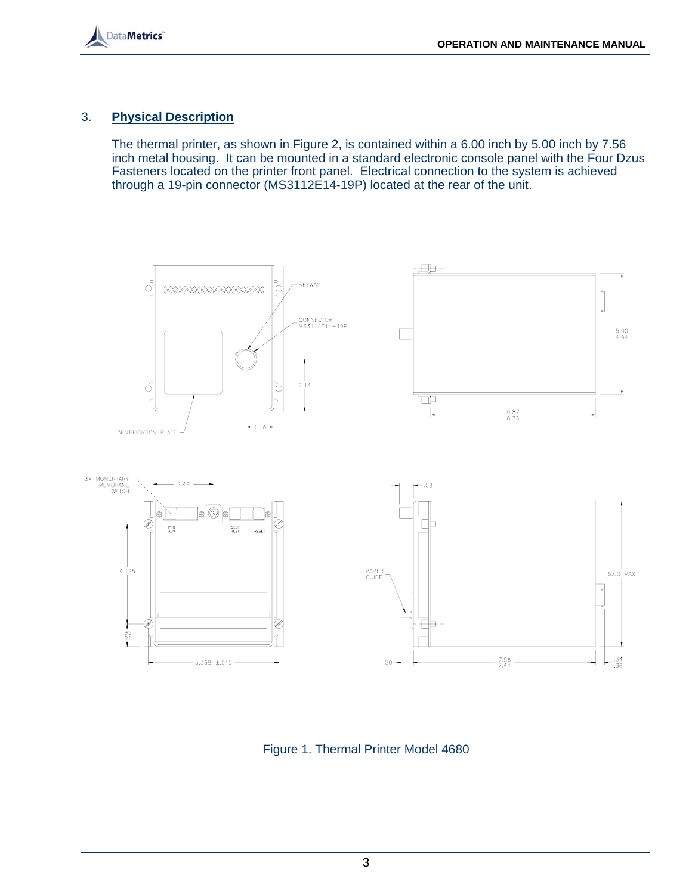

# 3. **Physical Description**

 The thermal printer, as shown in Figure 2, is contained within a 6.00 inch by 5.00 inch by 7.56 inch metal housing. It can be mounted in a standard electronic console panel with the Four Dzus Fasteners located on the printer front panel. Electrical connection to the system is achieved through a 19-pin connector (MS3112E14-19P) located at the rear of the unit.



Figure 1. Thermal Printer Model 4680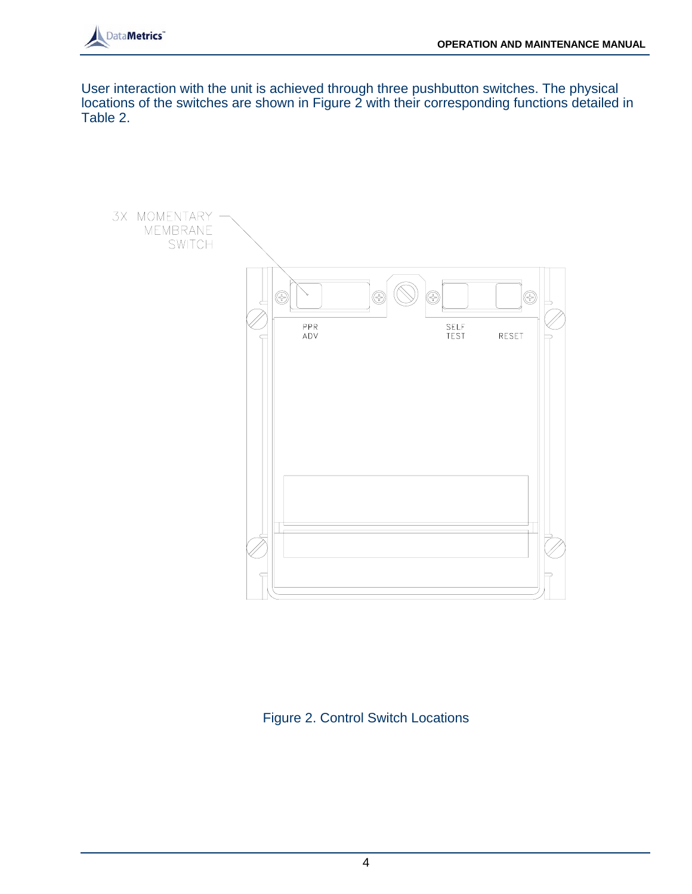

User interaction with the unit is achieved through three pushbutton switches. The physical locations of the switches are shown in Figure 2 with their corresponding functions detailed in Table 2.



Figure 2. Control Switch Locations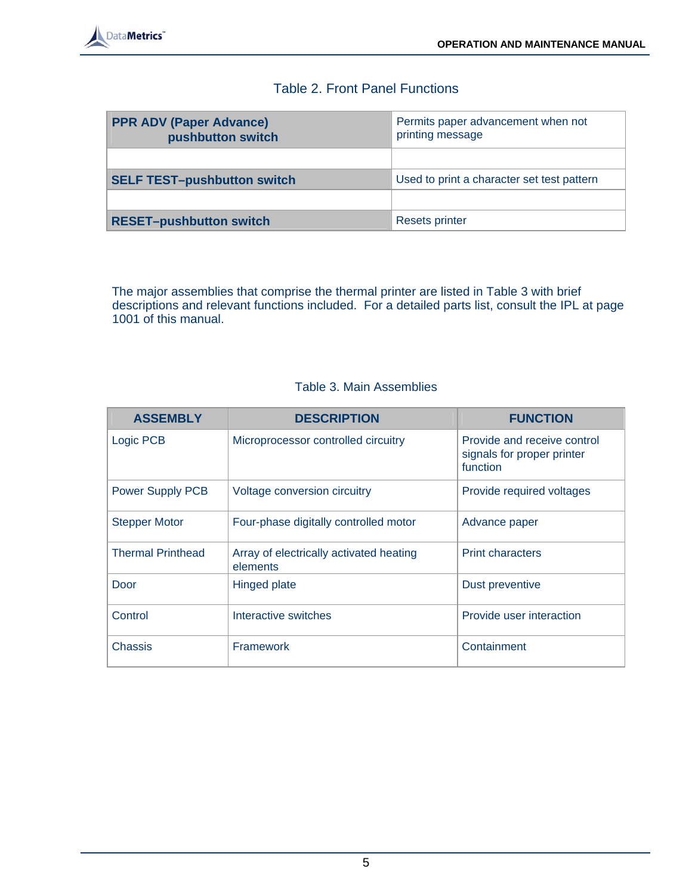# Table 2. Front Panel Functions

| <b>PPR ADV (Paper Advance)</b><br>pushbutton switch | Permits paper advancement when not<br>printing message |
|-----------------------------------------------------|--------------------------------------------------------|
|                                                     |                                                        |
| <b>SELF TEST-pushbutton switch</b>                  | Used to print a character set test pattern             |
|                                                     |                                                        |
| <b>RESET-pushbutton switch</b>                      | <b>Resets printer</b>                                  |

 The major assemblies that comprise the thermal printer are listed in Table 3 with brief descriptions and relevant functions included. For a detailed parts list, consult the IPL at page 1001 of this manual.

# Table 3. Main Assemblies

| <b>ASSEMBLY</b>          | <b>DESCRIPTION</b>                                  | <b>FUNCTION</b>                                                       |
|--------------------------|-----------------------------------------------------|-----------------------------------------------------------------------|
| Logic PCB                | Microprocessor controlled circuitry                 | Provide and receive control<br>signals for proper printer<br>function |
| <b>Power Supply PCB</b>  | Voltage conversion circuitry                        | Provide required voltages                                             |
| <b>Stepper Motor</b>     | Four-phase digitally controlled motor               | Advance paper                                                         |
| <b>Thermal Printhead</b> | Array of electrically activated heating<br>elements | <b>Print characters</b>                                               |
| Door                     | <b>Hinged plate</b>                                 | Dust preventive                                                       |
| Control                  | Interactive switches                                | Provide user interaction                                              |
| Chassis                  | <b>Framework</b>                                    | Containment                                                           |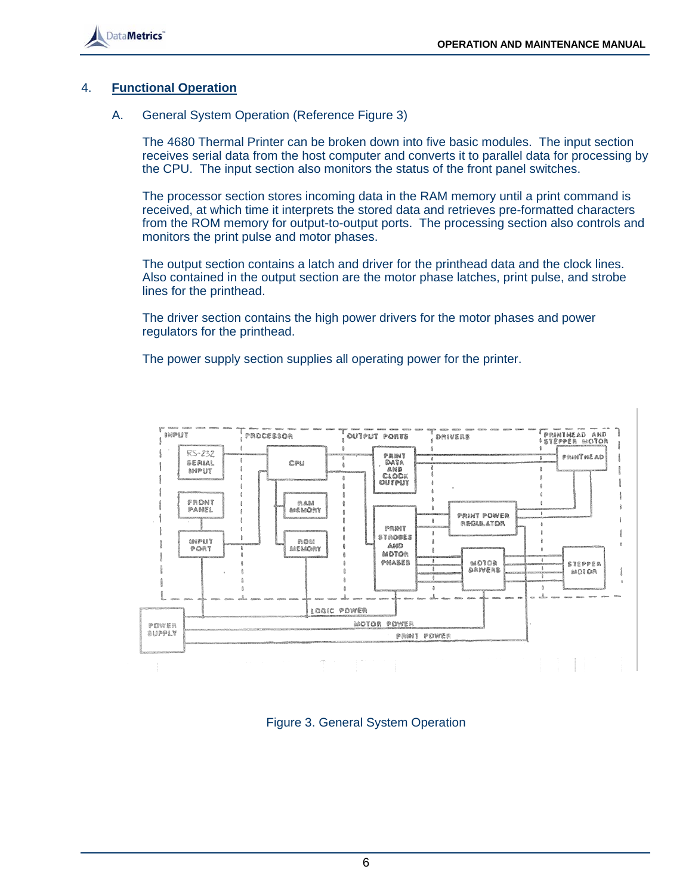

#### 4. **Functional Operation**

#### A. General System Operation (Reference Figure 3)

 The 4680 Thermal Printer can be broken down into five basic modules. The input section receives serial data from the host computer and converts it to parallel data for processing by the CPU. The input section also monitors the status of the front panel switches.

 The processor section stores incoming data in the RAM memory until a print command is received, at which time it interprets the stored data and retrieves pre-formatted characters from the ROM memory for output-to-output ports. The processing section also controls and monitors the print pulse and motor phases.

 The output section contains a latch and driver for the printhead data and the clock lines. Also contained in the output section are the motor phase latches, print pulse, and strobe lines for the printhead.

 The driver section contains the high power drivers for the motor phases and power regulators for the printhead.

The power supply section supplies all operating power for the printer.



Figure 3. General System Operation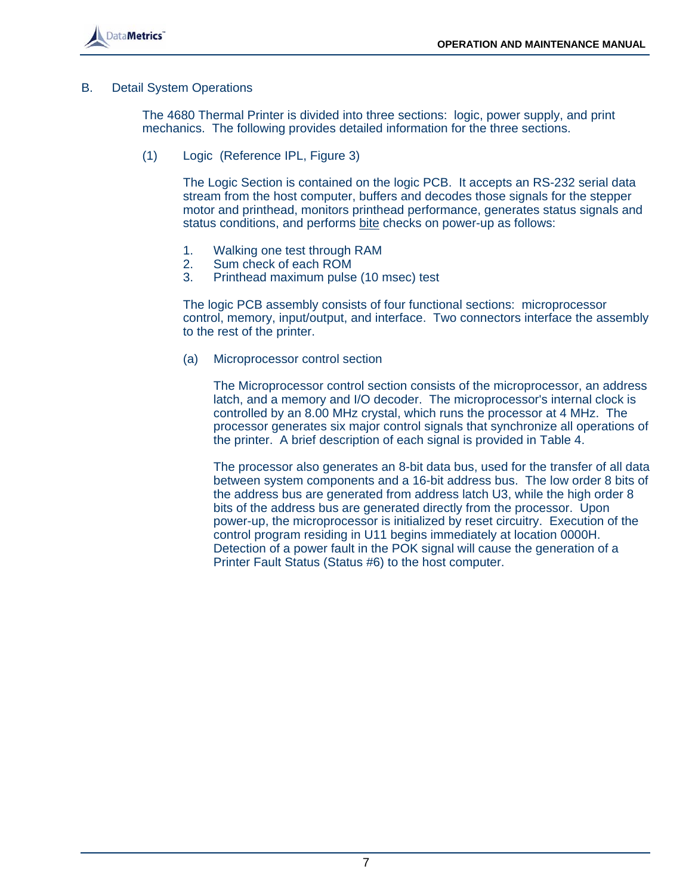

#### B. Detail System Operations

 The 4680 Thermal Printer is divided into three sections: logic, power supply, and print mechanics. The following provides detailed information for the three sections.

(1) Logic (Reference IPL, Figure 3)

 The Logic Section is contained on the logic PCB. It accepts an RS-232 serial data stream from the host computer, buffers and decodes those signals for the stepper motor and printhead, monitors printhead performance, generates status signals and status conditions, and performs bite checks on power-up as follows:

- 1. Walking one test through RAM
- 2. Sum check of each ROM
- 3. Printhead maximum pulse (10 msec) test

 The logic PCB assembly consists of four functional sections: microprocessor control, memory, input/output, and interface. Two connectors interface the assembly to the rest of the printer.

(a) Microprocessor control section

 The Microprocessor control section consists of the microprocessor, an address latch, and a memory and I/O decoder. The microprocessor's internal clock is controlled by an 8.00 MHz crystal, which runs the processor at 4 MHz. The processor generates six major control signals that synchronize all operations of the printer. A brief description of each signal is provided in Table 4.

 The processor also generates an 8-bit data bus, used for the transfer of all data between system components and a 16-bit address bus. The low order 8 bits of the address bus are generated from address latch U3, while the high order 8 bits of the address bus are generated directly from the processor. Upon power-up, the microprocessor is initialized by reset circuitry. Execution of the control program residing in U11 begins immediately at location 0000H. Detection of a power fault in the POK signal will cause the generation of a Printer Fault Status (Status #6) to the host computer.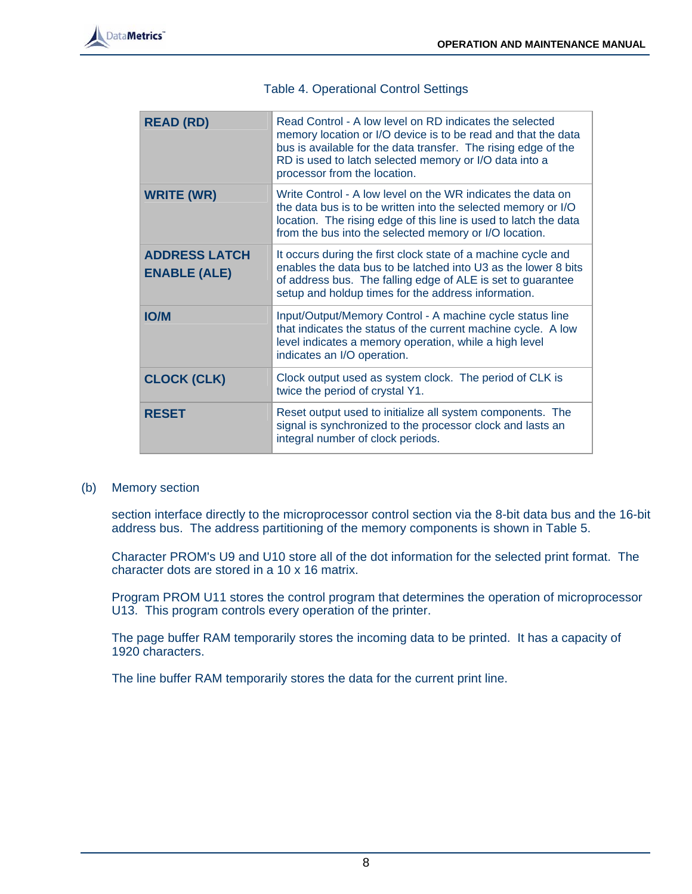

| <b>Table 4. Operational Control Settings</b> |  |  |
|----------------------------------------------|--|--|
|----------------------------------------------|--|--|

| <b>READ (RD)</b>                            | Read Control - A low level on RD indicates the selected<br>memory location or I/O device is to be read and that the data<br>bus is available for the data transfer. The rising edge of the<br>RD is used to latch selected memory or I/O data into a<br>processor from the location. |
|---------------------------------------------|--------------------------------------------------------------------------------------------------------------------------------------------------------------------------------------------------------------------------------------------------------------------------------------|
| <b>WRITE (WR)</b>                           | Write Control - A low level on the WR indicates the data on<br>the data bus is to be written into the selected memory or I/O<br>location. The rising edge of this line is used to latch the data<br>from the bus into the selected memory or I/O location.                           |
| <b>ADDRESS LATCH</b><br><b>ENABLE (ALE)</b> | It occurs during the first clock state of a machine cycle and<br>enables the data bus to be latched into U3 as the lower 8 bits<br>of address bus. The falling edge of ALE is set to guarantee<br>setup and holdup times for the address information.                                |
| <b>IO/M</b>                                 | Input/Output/Memory Control - A machine cycle status line<br>that indicates the status of the current machine cycle. A low<br>level indicates a memory operation, while a high level<br>indicates an I/O operation.                                                                  |
| <b>CLOCK (CLK)</b>                          | Clock output used as system clock. The period of CLK is<br>twice the period of crystal Y1.                                                                                                                                                                                           |
| RESET                                       | Reset output used to initialize all system components. The<br>signal is synchronized to the processor clock and lasts an<br>integral number of clock periods.                                                                                                                        |

(b) Memory section

section interface directly to the microprocessor control section via the 8-bit data bus and the 16-bit address bus. The address partitioning of the memory components is shown in Table 5.

Character PROM's U9 and U10 store all of the dot information for the selected print format. The character dots are stored in a 10 x 16 matrix.

Program PROM U11 stores the control program that determines the operation of microprocessor U13. This program controls every operation of the printer.

The page buffer RAM temporarily stores the incoming data to be printed. It has a capacity of 1920 characters.

The line buffer RAM temporarily stores the data for the current print line.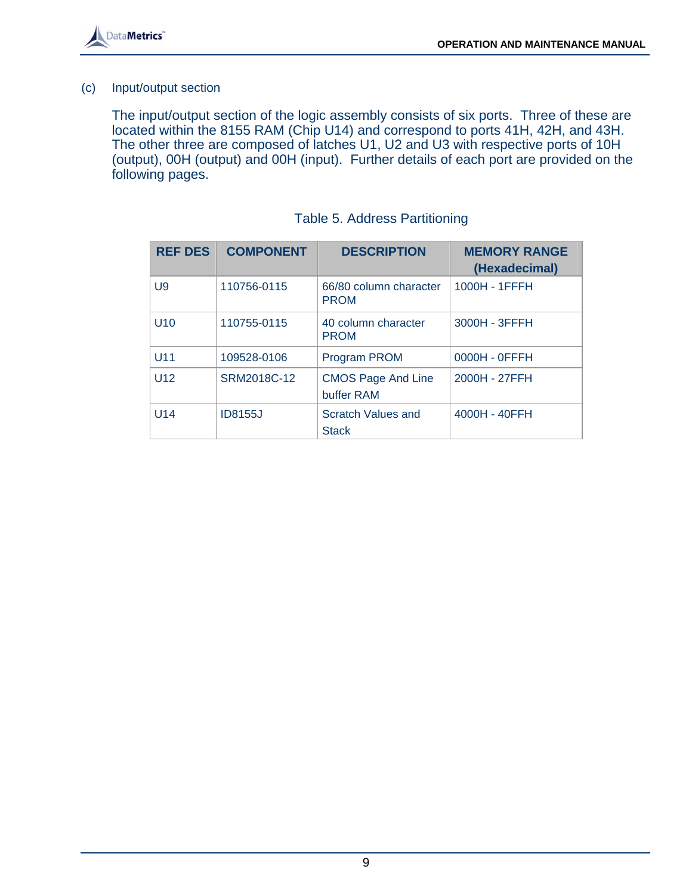

#### (c) Input/output section

The input/output section of the logic assembly consists of six ports. Three of these are located within the 8155 RAM (Chip U14) and correspond to ports 41H, 42H, and 43H. The other three are composed of latches U1, U2 and U3 with respective ports of 10H (output), 00H (output) and 00H (input). Further details of each port are provided on the following pages.

| <b>REF DES</b>  | <b>COMPONENT</b> | <b>DESCRIPTION</b>                      | <b>MEMORY RANGE</b><br>(Hexadecimal) |
|-----------------|------------------|-----------------------------------------|--------------------------------------|
| U <sub>9</sub>  | 110756-0115      | 66/80 column character<br><b>PROM</b>   | 1000H - 1FFFH                        |
| U <sub>10</sub> | 110755-0115      | 40 column character<br><b>PROM</b>      | 3000H - 3FFFH                        |
| U <sub>11</sub> | 109528-0106      | <b>Program PROM</b>                     | 0000H - 0FFFH                        |
| U12             | SRM2018C-12      | <b>CMOS Page And Line</b><br>buffer RAM | 2000H - 27FFH                        |
| U14             | <b>ID8155J</b>   | Scratch Values and<br><b>Stack</b>      | 4000H - 40FFH                        |

# Table 5. Address Partitioning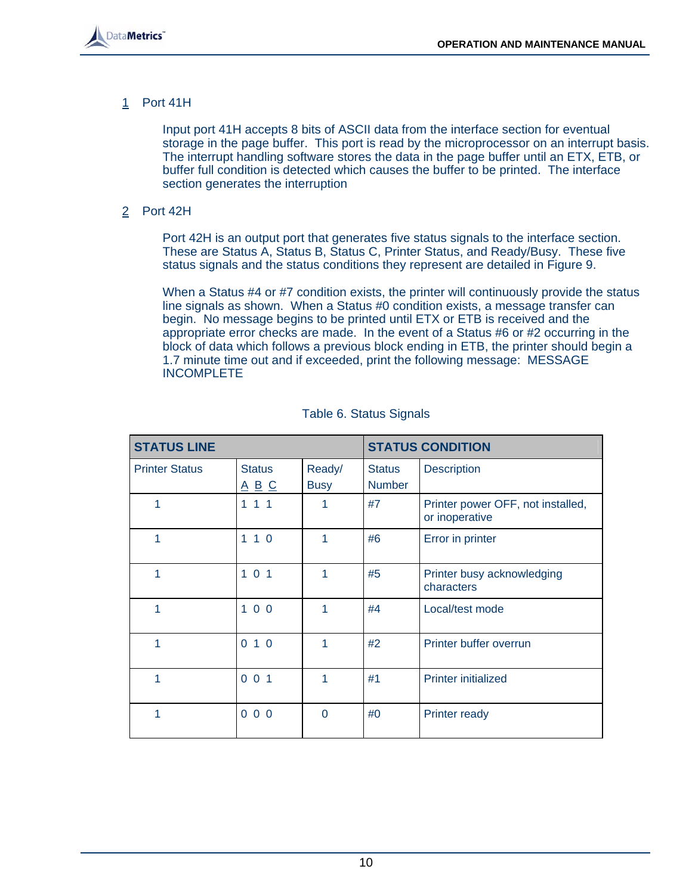

1 Port 41H

Input port 41H accepts 8 bits of ASCII data from the interface section for eventual storage in the page buffer. This port is read by the microprocessor on an interrupt basis. The interrupt handling software stores the data in the page buffer until an ETX, ETB, or buffer full condition is detected which causes the buffer to be printed. The interface section generates the interruption

2 Port 42H

Port 42H is an output port that generates five status signals to the interface section. These are Status A, Status B, Status C, Printer Status, and Ready/Busy. These five status signals and the status conditions they represent are detailed in Figure 9.

When a Status #4 or #7 condition exists, the printer will continuously provide the status line signals as shown. When a Status #0 condition exists, a message transfer can begin. No message begins to be printed until ETX or ETB is received and the appropriate error checks are made. In the event of a Status #6 or #2 occurring in the block of data which follows a previous block ending in ETB, the printer should begin a 1.7 minute time out and if exceeded, print the following message: MESSAGE **INCOMPLETE** 

| <b>STATUS LINE</b>    |                                                                  | <b>STATUS CONDITION</b> |                                |                                                     |
|-----------------------|------------------------------------------------------------------|-------------------------|--------------------------------|-----------------------------------------------------|
| <b>Printer Status</b> | <b>Status</b><br>$\underline{A}$ $\underline{B}$ $\underline{C}$ | Ready/<br><b>Busy</b>   | <b>Status</b><br><b>Number</b> | <b>Description</b>                                  |
| 1                     | 111                                                              |                         | #7                             | Printer power OFF, not installed,<br>or inoperative |
| 1                     | $1 1 0$                                                          | 1                       | #6                             | Error in printer                                    |
|                       | 101                                                              |                         | #5                             | Printer busy acknowledging<br>characters            |
| 1                     | $100$                                                            | 1                       | #4                             | Local/test mode                                     |
| 1                     | 010                                                              | 1                       | #2                             | Printer buffer overrun                              |
|                       | 001                                                              |                         | #1                             | <b>Printer initialized</b>                          |
| 1                     | 000                                                              | $\Omega$                | #0                             | <b>Printer ready</b>                                |

#### Table 6. Status Signals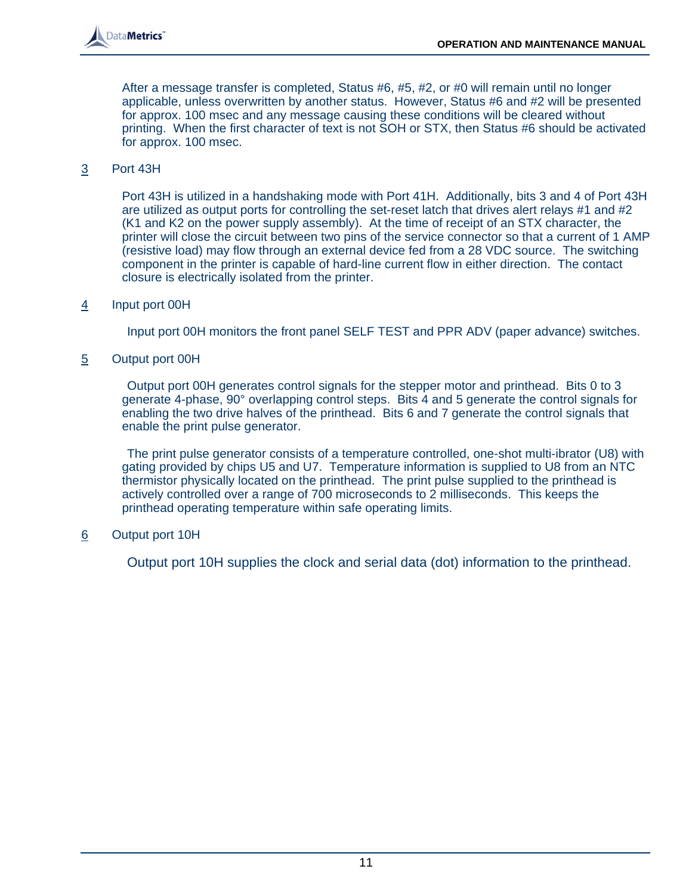

After a message transfer is completed, Status #6, #5, #2, or #0 will remain until no longer applicable, unless overwritten by another status. However, Status #6 and #2 will be presented for approx. 100 msec and any message causing these conditions will be cleared without printing. When the first character of text is not SOH or STX, then Status #6 should be activated for approx. 100 msec.

#### 3 Port 43H

Port 43H is utilized in a handshaking mode with Port 41H. Additionally, bits 3 and 4 of Port 43H are utilized as output ports for controlling the set-reset latch that drives alert relays #1 and #2 (K1 and K2 on the power supply assembly). At the time of receipt of an STX character, the printer will close the circuit between two pins of the service connector so that a current of 1 AMP (resistive load) may flow through an external device fed from a 28 VDC source. The switching component in the printer is capable of hard-line current flow in either direction. The contact closure is electrically isolated from the printer.

# 4 Input port 00H

Input port 00H monitors the front panel SELF TEST and PPR ADV (paper advance) switches.

#### 5 Output port 00H

Output port 00H generates control signals for the stepper motor and printhead. Bits 0 to 3 generate 4-phase, 90° overlapping control steps. Bits 4 and 5 generate the control signals for enabling the two drive halves of the printhead. Bits 6 and 7 generate the control signals that enable the print pulse generator.

The print pulse generator consists of a temperature controlled, one-shot multi-ibrator (U8) with gating provided by chips U5 and U7. Temperature information is supplied to U8 from an NTC thermistor physically located on the printhead. The print pulse supplied to the printhead is actively controlled over a range of 700 microseconds to 2 milliseconds. This keeps the printhead operating temperature within safe operating limits.

# 6 Output port 10H

Output port 10H supplies the clock and serial data (dot) information to the printhead.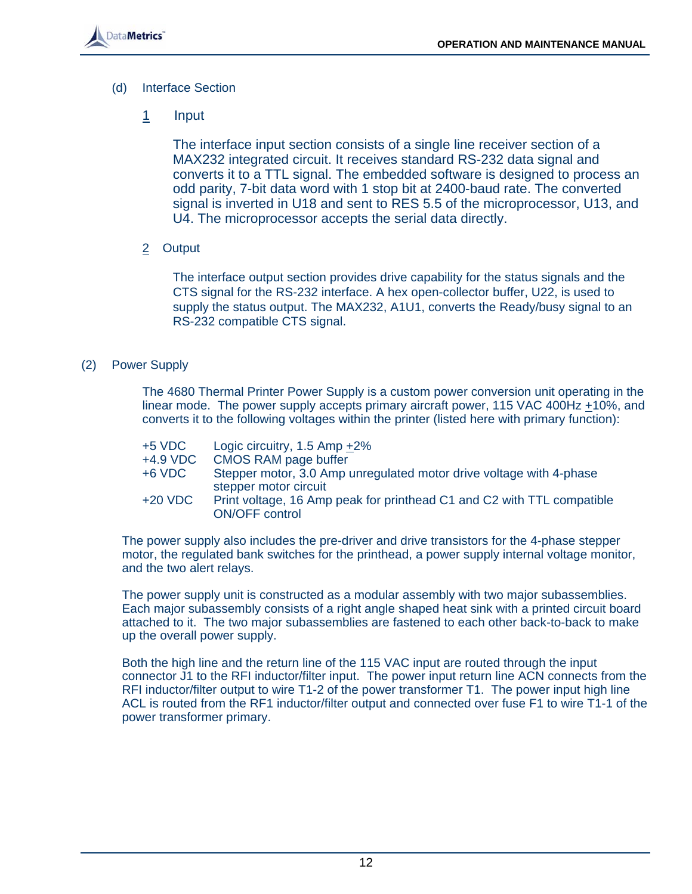

- (d) Interface Section
	- 1 Input

The interface input section consists of a single line receiver section of a MAX232 integrated circuit. It receives standard RS-232 data signal and converts it to a TTL signal. The embedded software is designed to process an odd parity, 7-bit data word with 1 stop bit at 2400-baud rate. The converted signal is inverted in U18 and sent to RES 5.5 of the microprocessor, U13, and U4. The microprocessor accepts the serial data directly.

2 Output

The interface output section provides drive capability for the status signals and the CTS signal for the RS-232 interface. A hex open-collector buffer, U22, is used to supply the status output. The MAX232, A1U1, converts the Ready/busy signal to an RS-232 compatible CTS signal.

# (2) Power Supply

 The 4680 Thermal Printer Power Supply is a custom power conversion unit operating in the linear mode. The power supply accepts primary aircraft power, 115 VAC 400Hz +10%, and converts it to the following voltages within the printer (listed here with primary function):

| $+5$ VDC   | Logic circuitry, $1.5$ Amp $+2\%$                                                               |
|------------|-------------------------------------------------------------------------------------------------|
| $+4.9$ VDC | <b>CMOS RAM page buffer</b>                                                                     |
| $+6$ VDC   | Stepper motor, 3.0 Amp unregulated motor drive voltage with 4-phase<br>stepper motor circuit    |
| $+20$ VDC  | Print voltage, 16 Amp peak for printhead C1 and C2 with TTL compatible<br><b>ON/OFF control</b> |

The power supply also includes the pre-driver and drive transistors for the 4-phase stepper motor, the regulated bank switches for the printhead, a power supply internal voltage monitor, and the two alert relays.

The power supply unit is constructed as a modular assembly with two major subassemblies. Each major subassembly consists of a right angle shaped heat sink with a printed circuit board attached to it. The two major subassemblies are fastened to each other back-to-back to make up the overall power supply.

Both the high line and the return line of the 115 VAC input are routed through the input connector J1 to the RFI inductor/filter input. The power input return line ACN connects from the RFI inductor/filter output to wire T1-2 of the power transformer T1. The power input high line ACL is routed from the RF1 inductor/filter output and connected over fuse F1 to wire T1-1 of the power transformer primary.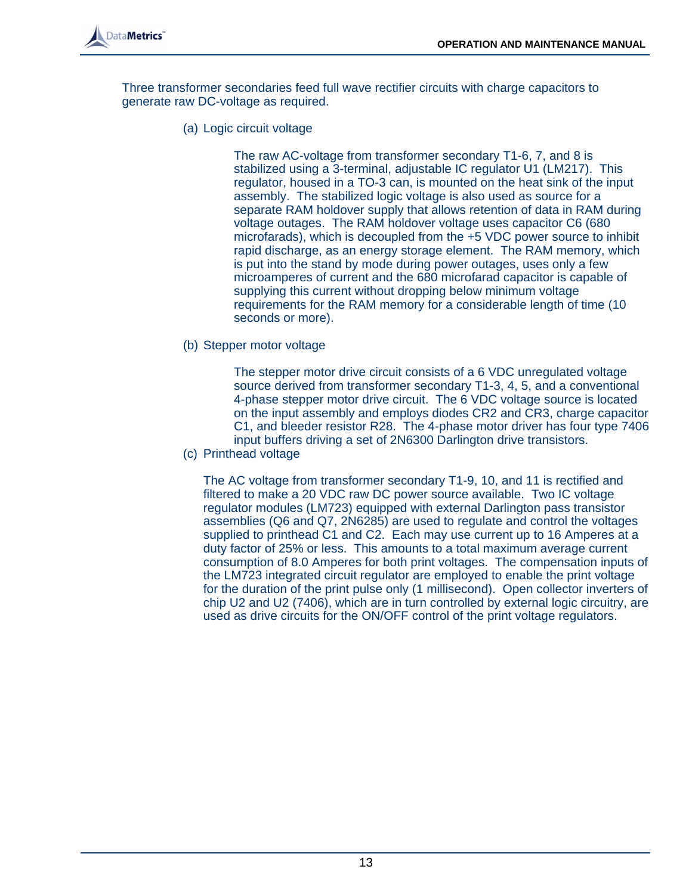

Three transformer secondaries feed full wave rectifier circuits with charge capacitors to generate raw DC-voltage as required.

(a) Logic circuit voltage

 The raw AC-voltage from transformer secondary T1-6, 7, and 8 is stabilized using a 3-terminal, adjustable IC regulator U1 (LM217). This regulator, housed in a TO-3 can, is mounted on the heat sink of the input assembly. The stabilized logic voltage is also used as source for a separate RAM holdover supply that allows retention of data in RAM during voltage outages. The RAM holdover voltage uses capacitor C6 (680 microfarads), which is decoupled from the +5 VDC power source to inhibit rapid discharge, as an energy storage element. The RAM memory, which is put into the stand by mode during power outages, uses only a few microamperes of current and the 680 microfarad capacitor is capable of supplying this current without dropping below minimum voltage requirements for the RAM memory for a considerable length of time (10 seconds or more).

(b) Stepper motor voltage

 The stepper motor drive circuit consists of a 6 VDC unregulated voltage source derived from transformer secondary T1-3, 4, 5, and a conventional 4-phase stepper motor drive circuit. The 6 VDC voltage source is located on the input assembly and employs diodes CR2 and CR3, charge capacitor C1, and bleeder resistor R28. The 4-phase motor driver has four type 7406 input buffers driving a set of 2N6300 Darlington drive transistors.

(c) Printhead voltage

The AC voltage from transformer secondary T1-9, 10, and 11 is rectified and filtered to make a 20 VDC raw DC power source available. Two IC voltage regulator modules (LM723) equipped with external Darlington pass transistor assemblies (Q6 and Q7, 2N6285) are used to regulate and control the voltages supplied to printhead C1 and C2. Each may use current up to 16 Amperes at a duty factor of 25% or less. This amounts to a total maximum average current consumption of 8.0 Amperes for both print voltages. The compensation inputs of the LM723 integrated circuit regulator are employed to enable the print voltage for the duration of the print pulse only (1 millisecond). Open collector inverters of chip U2 and U2 (7406), which are in turn controlled by external logic circuitry, are used as drive circuits for the ON/OFF control of the print voltage regulators.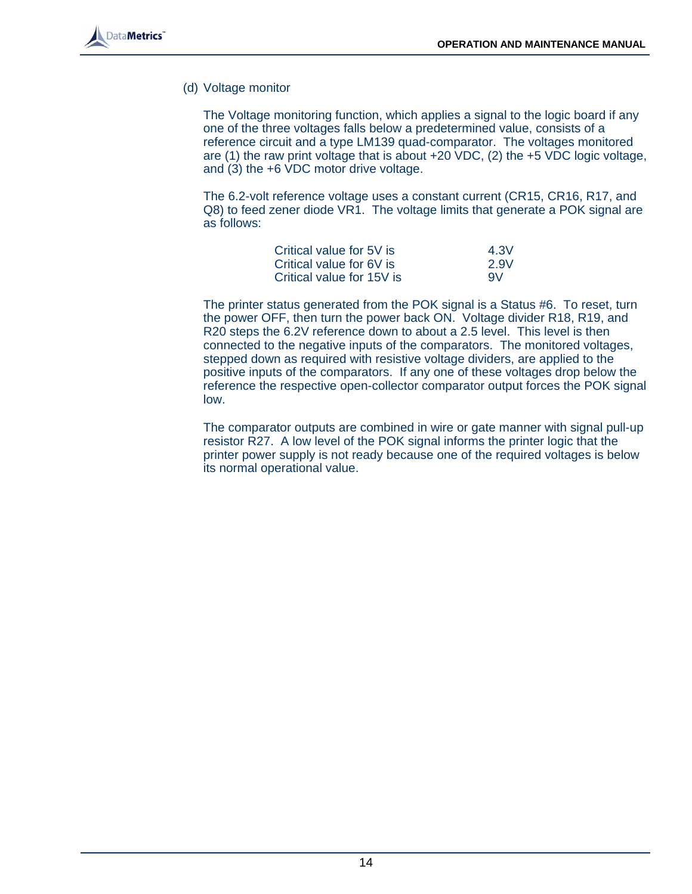(d) Voltage monitor

The Voltage monitoring function, which applies a signal to the logic board if any one of the three voltages falls below a predetermined value, consists of a reference circuit and a type LM139 quad-comparator. The voltages monitored are (1) the raw print voltage that is about +20 VDC, (2) the +5 VDC logic voltage, and (3) the +6 VDC motor drive voltage.

The 6.2-volt reference voltage uses a constant current (CR15, CR16, R17, and Q8) to feed zener diode VR1. The voltage limits that generate a POK signal are as follows:

| Critical value for 5V is  | 4.3V |
|---------------------------|------|
| Critical value for 6V is  | 2.9V |
| Critical value for 15V is | 9V   |

The printer status generated from the POK signal is a Status #6. To reset, turn the power OFF, then turn the power back ON. Voltage divider R18, R19, and R20 steps the 6.2V reference down to about a 2.5 level. This level is then connected to the negative inputs of the comparators. The monitored voltages, stepped down as required with resistive voltage dividers, are applied to the positive inputs of the comparators. If any one of these voltages drop below the reference the respective open-collector comparator output forces the POK signal low.

The comparator outputs are combined in wire or gate manner with signal pull-up resistor R27. A low level of the POK signal informs the printer logic that the printer power supply is not ready because one of the required voltages is below its normal operational value.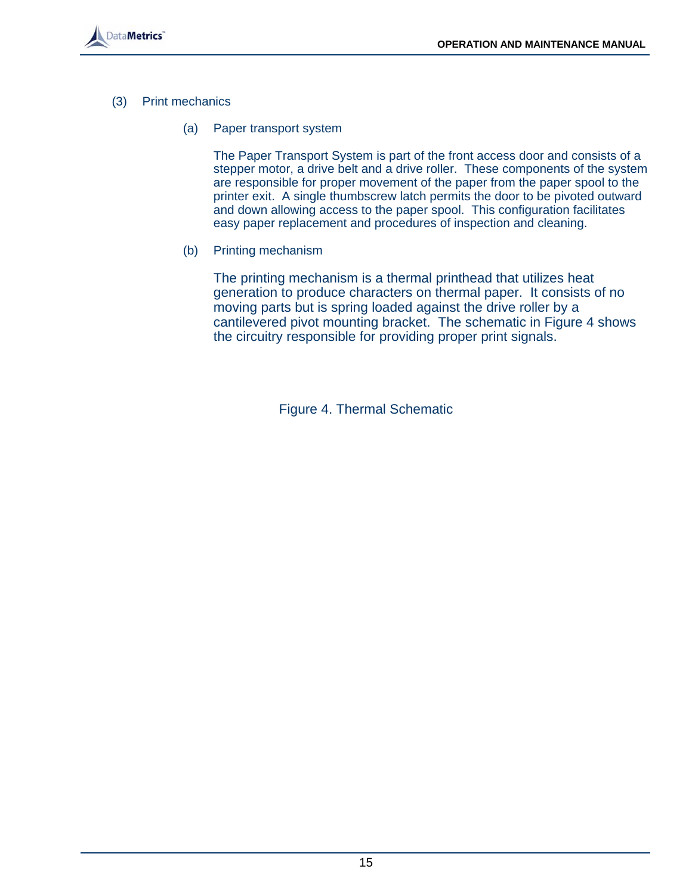

- (3) Print mechanics
	- (a) Paper transport system

 The Paper Transport System is part of the front access door and consists of a stepper motor, a drive belt and a drive roller. These components of the system are responsible for proper movement of the paper from the paper spool to the printer exit. A single thumbscrew latch permits the door to be pivoted outward and down allowing access to the paper spool. This configuration facilitates easy paper replacement and procedures of inspection and cleaning.

(b) Printing mechanism

The printing mechanism is a thermal printhead that utilizes heat generation to produce characters on thermal paper. It consists of no moving parts but is spring loaded against the drive roller by a cantilevered pivot mounting bracket. The schematic in Figure 4 shows the circuitry responsible for providing proper print signals.

Figure 4. Thermal Schematic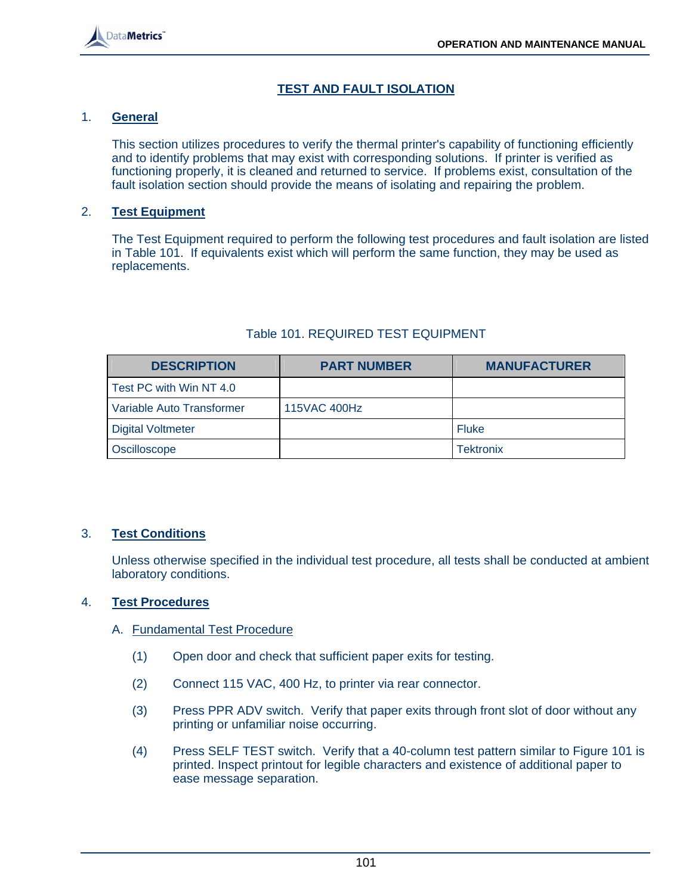# **TEST AND FAULT ISOLATION**

#### 1. **General**

 This section utilizes procedures to verify the thermal printer's capability of functioning efficiently and to identify problems that may exist with corresponding solutions. If printer is verified as functioning properly, it is cleaned and returned to service. If problems exist, consultation of the fault isolation section should provide the means of isolating and repairing the problem.

#### 2. **Test Equipment**

 The Test Equipment required to perform the following test procedures and fault isolation are listed in Table 101. If equivalents exist which will perform the same function, they may be used as replacements.

| <b>DESCRIPTION</b>        | <b>PART NUMBER</b> | <b>MANUFACTURER</b> |
|---------------------------|--------------------|---------------------|
| Test PC with Win NT 4.0   |                    |                     |
| Variable Auto Transformer | 115VAC 400Hz       |                     |
| <b>Digital Voltmeter</b>  |                    | <b>Fluke</b>        |
| Oscilloscope              |                    | <b>Tektronix</b>    |

#### Table 101. REQUIRED TEST EQUIPMENT

#### 3. **Test Conditions**

 Unless otherwise specified in the individual test procedure, all tests shall be conducted at ambient laboratory conditions.

#### 4. **Test Procedures**

- A. Fundamental Test Procedure
	- (1) Open door and check that sufficient paper exits for testing.
	- (2) Connect 115 VAC, 400 Hz, to printer via rear connector.
	- (3) Press PPR ADV switch. Verify that paper exits through front slot of door without any printing or unfamiliar noise occurring.
	- (4) Press SELF TEST switch. Verify that a 40-column test pattern similar to Figure 101 is printed. Inspect printout for legible characters and existence of additional paper to ease message separation.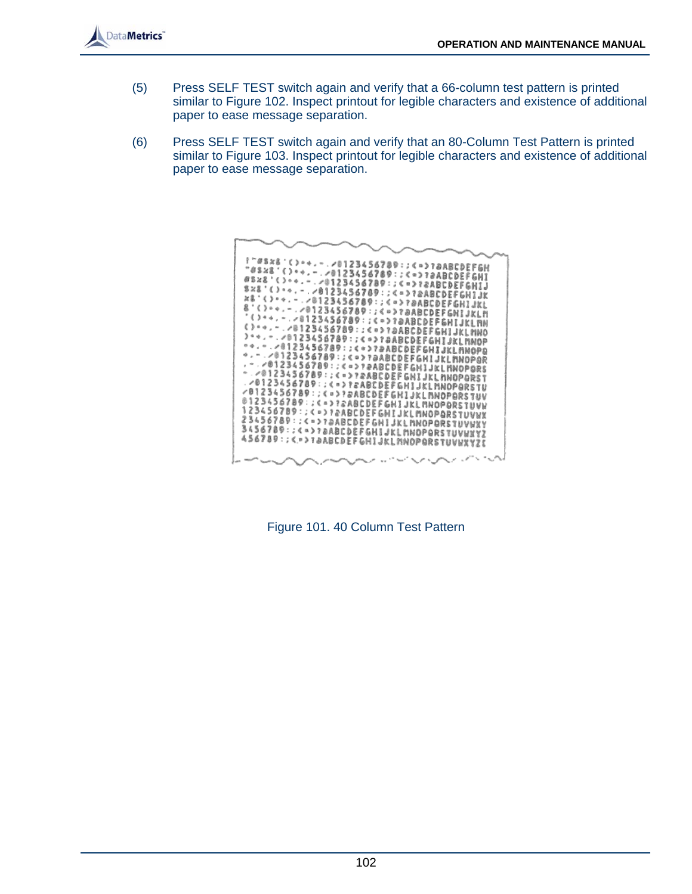

- (5) Press SELF TEST switch again and verify that a 66-column test pattern is printed similar to Figure 102. Inspect printout for legible characters and existence of additional paper to ease message separation.
- (6) Press SELF TEST switch again and verify that an 80-Column Test Pattern is printed similar to Figure 103. Inspect printout for legible characters and existence of additional paper to ease message separation.



Figure 101. 40 Column Test Pattern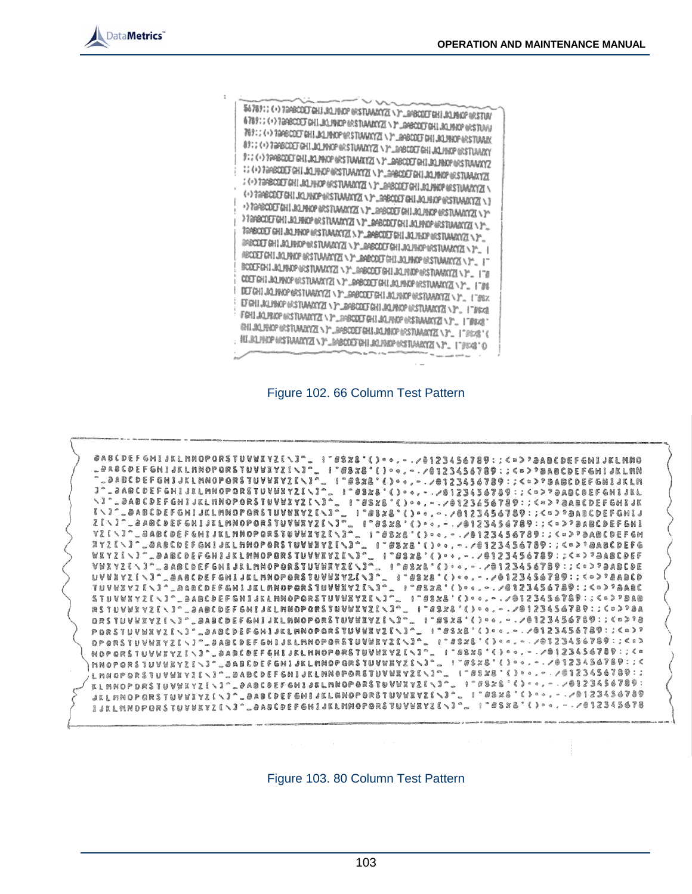

56789:: (+) TRABCOET GHI JOLIBIOP (KSTUWANYZI \)" RABCOET GHI JOLIBIOP (KSTUW w A 78911 (+) 7898COD GHI JALINGO BASTUANAYZI \ F \_GHEGULY GHI JALINGO BASTUA TO THE CONTRACT CHILD ALL PROPERTY DEVELOPED A LINE AND MOSTRAY 01: 4 > 7GRECOET GHI JALPHOP GESTUANNYZI \ Y-LINBODET GHI JALPHOP (ESTUANNY FOR A SPARED OF GHILAL PROPERTY AND A CONDITION TO ALTHOLOGY WAS TUANING :: (+) TanBCDET CHILICI/INCP (IRSTUMATEZ) \ P\_GHBCDET CHILICI/INCP (IRSTUMATEZ) : (-) TOPSCOLE GHI JALIHAR (ASTUARATZI \ )" SHBACKI GHI JALIHAR (KSTUARATZI) (\*) TRABCOLT GALLACING PRETURBATION (\*) ZRECOLT GALLACING WESTUMMAYZE \ >> PapeODI GHI JALMOP (ASTAMATZI ) P\_ROBODI GHI JALMOP (ASTAMATZI ) P FOR COLLEGE THE STATE OF THE CONDUCT AND ACTIVITION OF THE COLLEGE TO A THE COLLEGE THAT THE STATE OF THE THROUGH THE COLLEGE THAT THE THROUGH THE COLLEGE THAT THE THROUGH THE COLLEGE THAT THE COLLEGE THAT THE COLLEGE THAT TRABCOLT GHI JALFHAP (FSTAMARTZ), Y. 2000 GALLALFHAP (FSTAMARTZ), Y.<br>REPORT GHI JALFHAP (FSTAMARTZ), Y. 2000 GET GHI JALFHAP (FSTAMARTZ), Y. SPECIEF CHI JALIBEDP ORSTUMANTES AT ARRESOCI CHI JALIBED ORSTUMANTES A P. **BECKET CHILICLE ROOM AND THE COMMUNISTION CONTRACT AS A POST CHILICLE CHILICLE CONTRACT AND AND SET CHARGE OF A POST CHILICLE CONTRACT AND AND SET CONTRACT AND A POST CHARGE OF A POST CHILIC CONTRACT OF A POST CONTRACT OF BODFGHI-BLISKEY WISTIANATES AT SERIEGED WILLIAM PRESTRANCES (P. 1798) COLLEGION CONTRACTED AND COLLEGION CONTRACTED AT A THE COLLEGION CONTRACTED** ET GHI JALIBKOP (KSTLANATZEL V PLANATZEL GHI JALIBKOP (KSTLANATZEL V PLANATZEL V PLANATZEL V PLANATZEL V PLANATZEL V PLANATZEL V PLANATZEL V PLANATZEL V PLANATZEL V PLANATZEL V PLANATZEL V PLANATZEL V PLANATZEL V PLANATZEL FSHIJQJEXDP NG TUWAYZ \ P.SPSCOT GHIJALPHOP NG TUWAYZ \ P. | FBXS GHLAQ HADP (ASTUMARYZEN)" APBODET GHLAQ HAD (ASTUMARYZEN)" \_ | "BEAR" : #LRLPHOP OSTRARYZ \T'\_MBCODTHI RLPHOP OSTRARYZ \T'\_ 179%2'O





Figure 103. 80 Column Test Pattern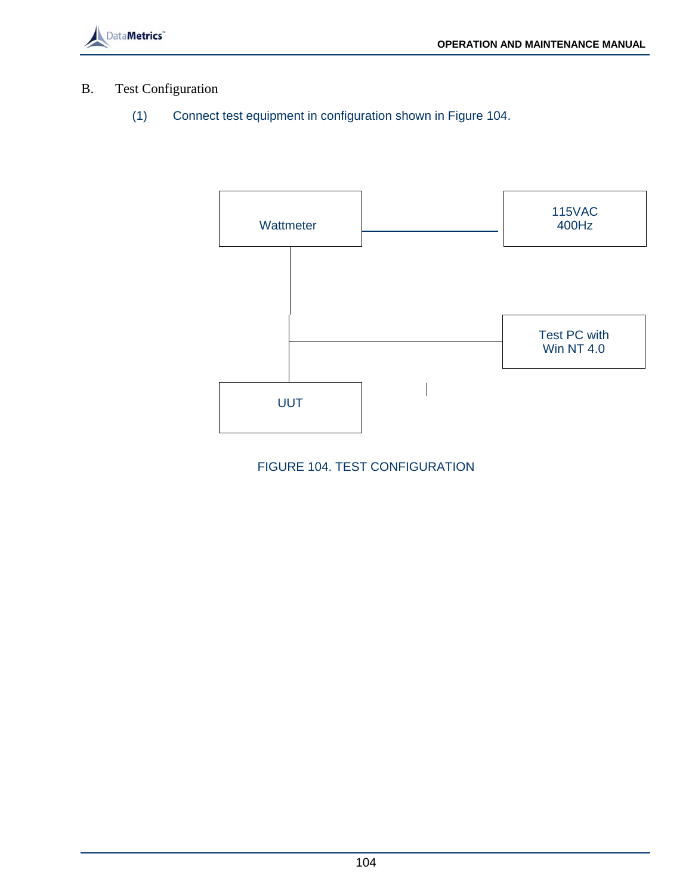

# B. Test Configuration

(1) Connect test equipment in configuration shown in Figure 104.



FIGURE 104. TEST CONFIGURATION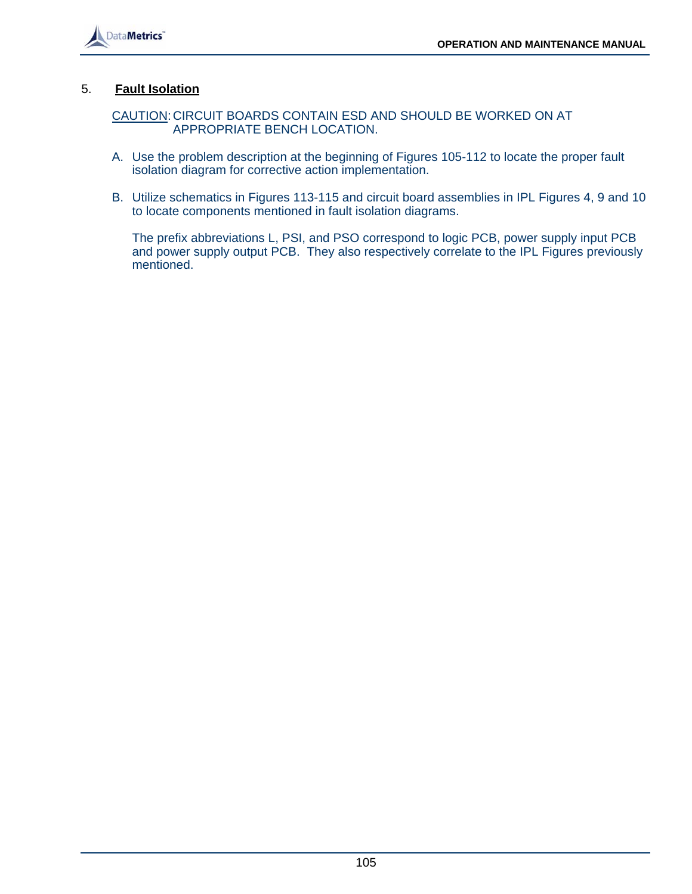

# 5. **Fault Isolation**

 CAUTION: CIRCUIT BOARDS CONTAIN ESD AND SHOULD BE WORKED ON AT APPROPRIATE BENCH LOCATION.

- A. Use the problem description at the beginning of Figures 105-112 to locate the proper fault isolation diagram for corrective action implementation.
- B. Utilize schematics in Figures 113-115 and circuit board assemblies in IPL Figures 4, 9 and 10 to locate components mentioned in fault isolation diagrams.

 The prefix abbreviations L, PSI, and PSO correspond to logic PCB, power supply input PCB and power supply output PCB. They also respectively correlate to the IPL Figures previously mentioned.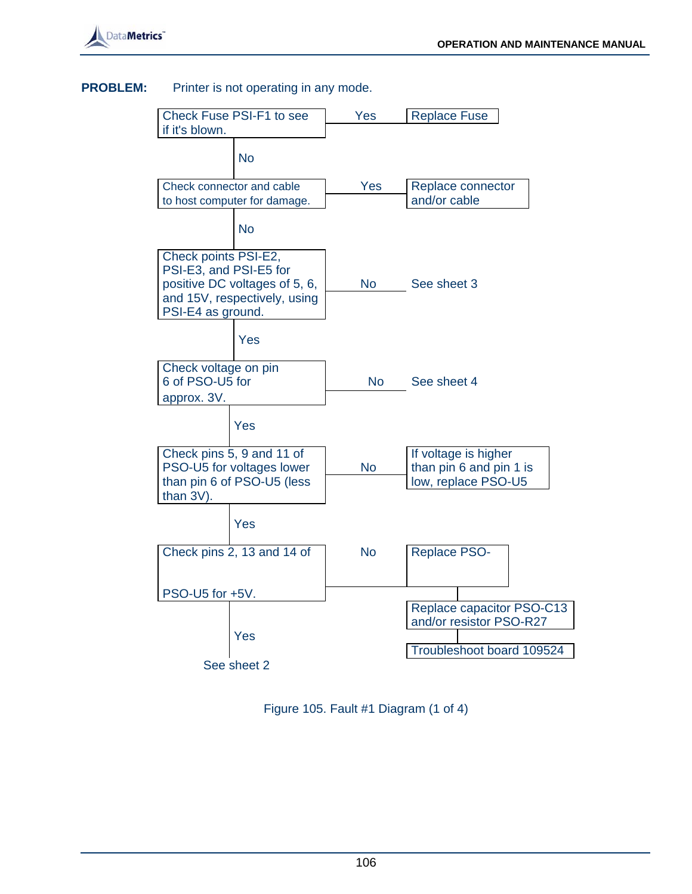

#### **PROBLEM:** Printer is not operating in any mode.



Figure 105. Fault #1 Diagram (1 of 4)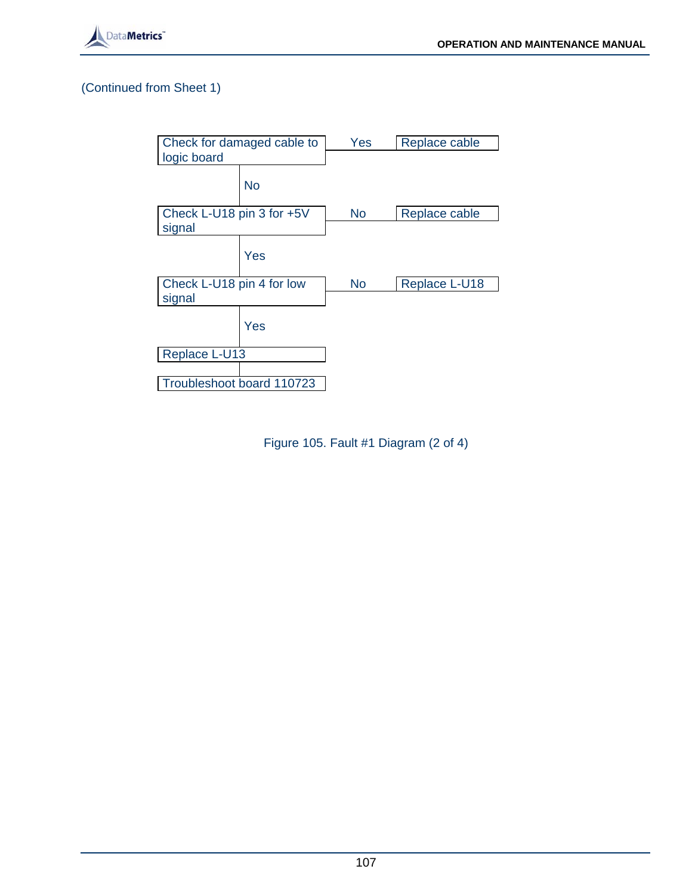



Figure 105. Fault #1 Diagram (2 of 4)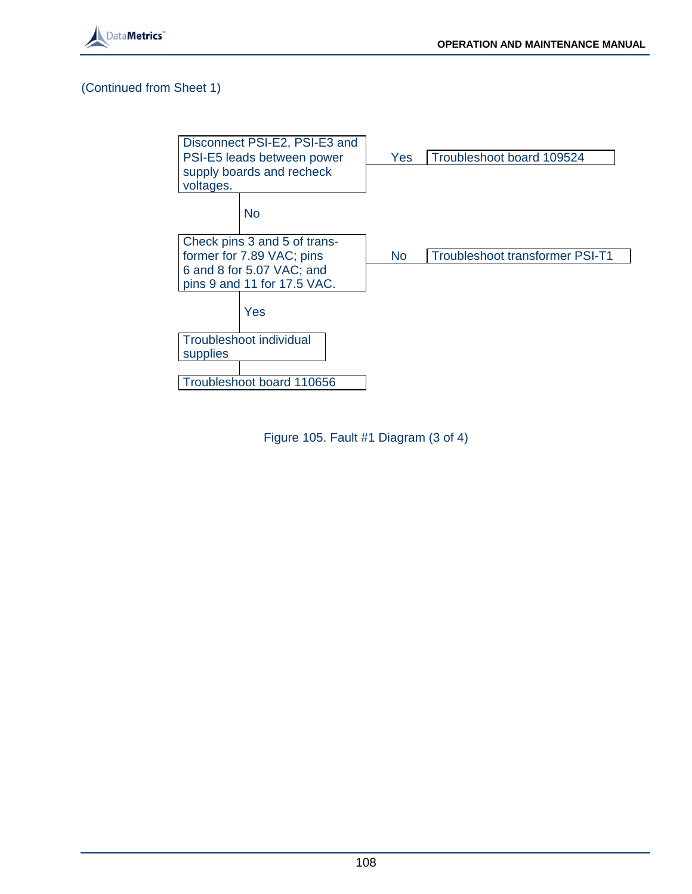



Figure 105. Fault #1 Diagram (3 of 4)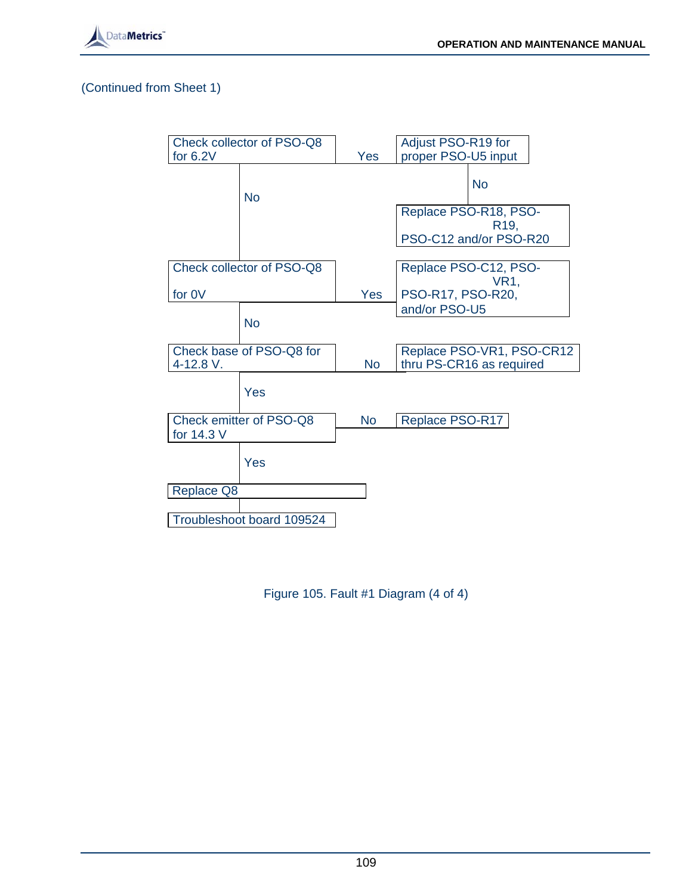



Figure 105. Fault #1 Diagram (4 of 4)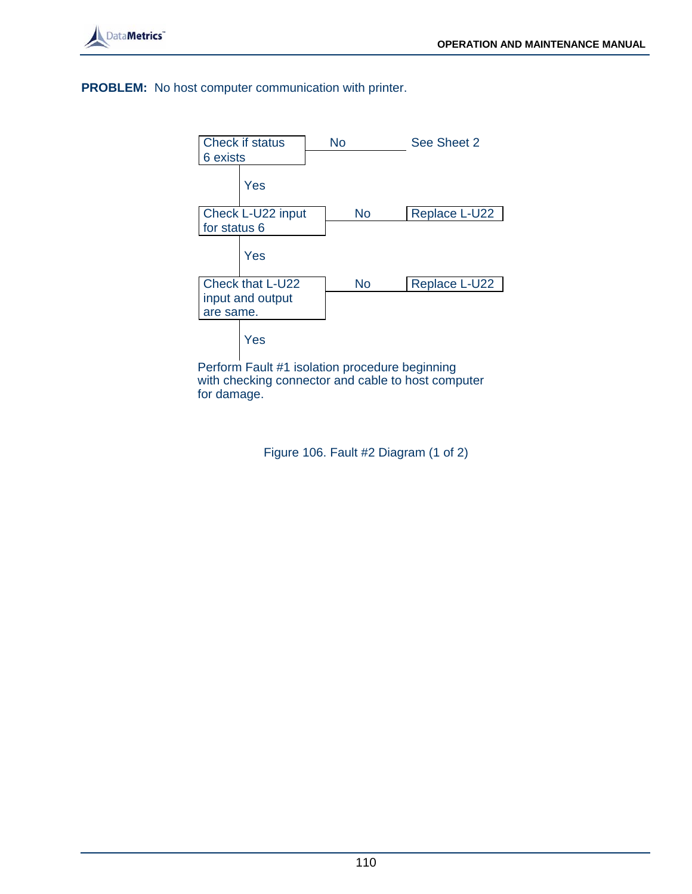

**PROBLEM:** No host computer communication with printer.



 Perform Fault #1 isolation procedure beginning with checking connector and cable to host computer for damage.

Figure 106. Fault #2 Diagram (1 of 2)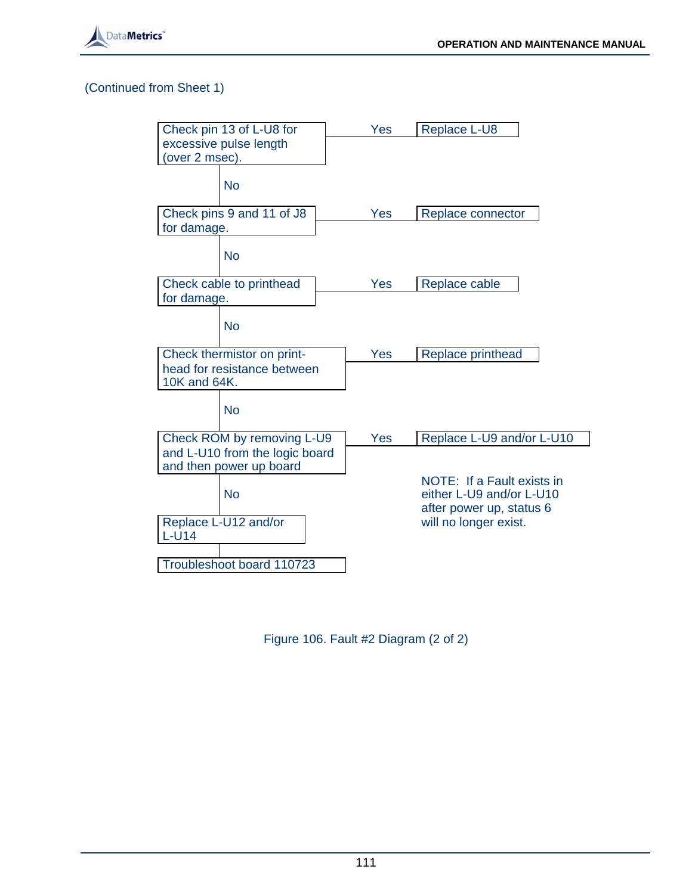

| Check pin 13 of L-U8 for       | Yes | Replace L-U8                                           |
|--------------------------------|-----|--------------------------------------------------------|
| excessive pulse length         |     |                                                        |
| (over 2 msec).                 |     |                                                        |
|                                |     |                                                        |
| <b>No</b>                      |     |                                                        |
| Check pins 9 and 11 of J8      | Yes | Replace connector                                      |
| for damage.                    |     |                                                        |
| <b>No</b>                      |     |                                                        |
| Check cable to printhead       | Yes | Replace cable                                          |
| for damage.                    |     |                                                        |
|                                |     |                                                        |
| <b>No</b>                      |     |                                                        |
| Check thermistor on print-     | Yes | Replace printhead                                      |
| head for resistance between    |     |                                                        |
| 10K and 64K.                   |     |                                                        |
| <b>No</b>                      |     |                                                        |
|                                |     |                                                        |
| Check ROM by removing L-U9     | Yes | Replace L-U9 and/or L-U10                              |
| and L-U10 from the logic board |     |                                                        |
| and then power up board        |     |                                                        |
| <b>No</b>                      |     | NOTE: If a Fault exists in<br>either L-U9 and/or L-U10 |
|                                |     | after power up, status 6                               |
| Replace L-U12 and/or           |     | will no longer exist.                                  |
| $L-U14$                        |     |                                                        |
|                                |     |                                                        |
| Troubleshoot board 110723      |     |                                                        |

Figure 106. Fault #2 Diagram (2 of 2)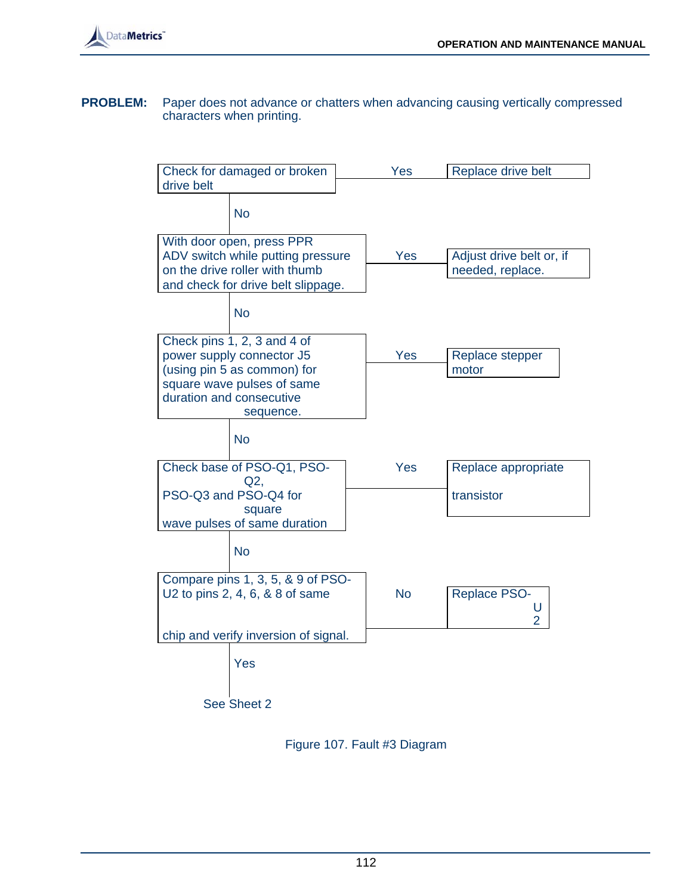

#### **PROBLEM:** Paper does not advance or chatters when advancing causing vertically compressed characters when printing.



Figure 107. Fault #3 Diagram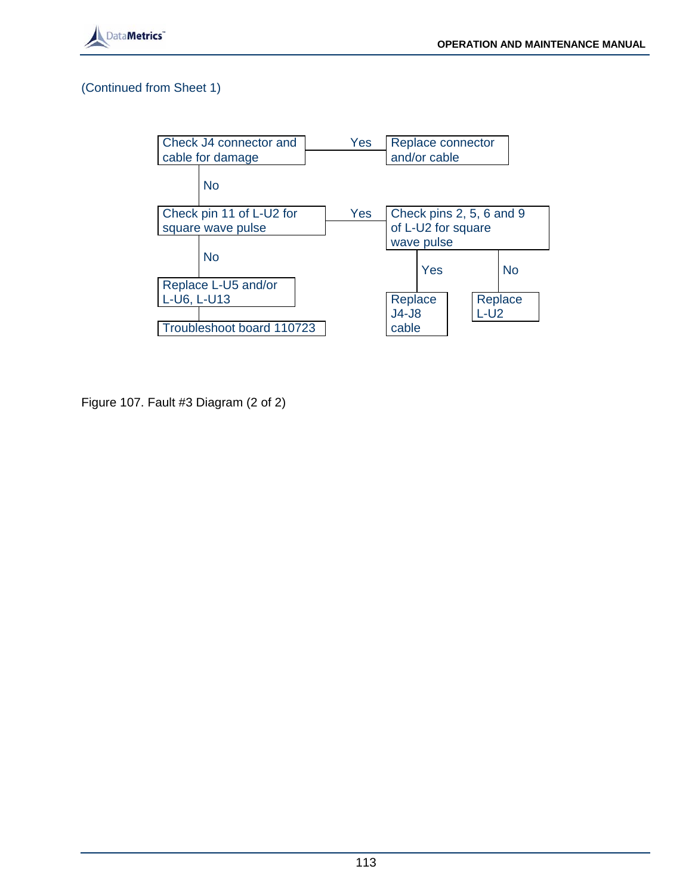



Figure 107. Fault #3 Diagram (2 of 2)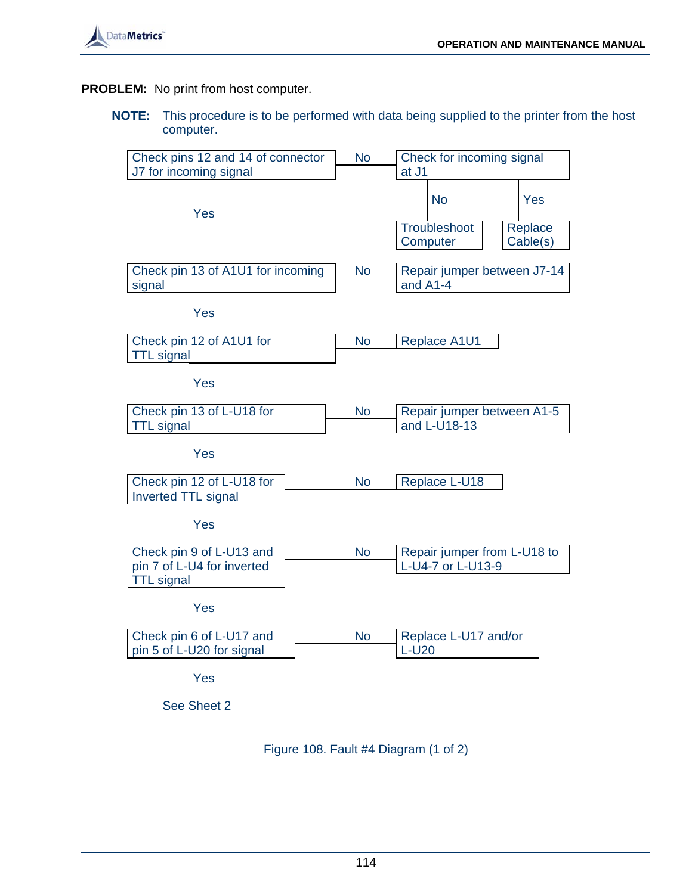

**PROBLEM:** No print from host computer.

**NOTE:** This procedure is to be performed with data being supplied to the printer from the host computer.



Figure 108. Fault #4 Diagram (1 of 2)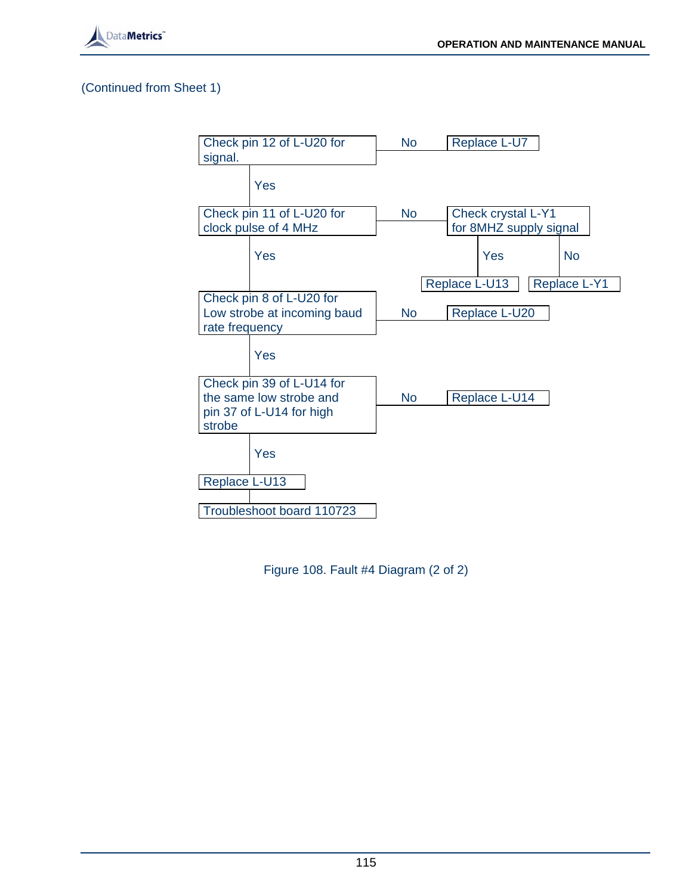



Figure 108. Fault #4 Diagram (2 of 2)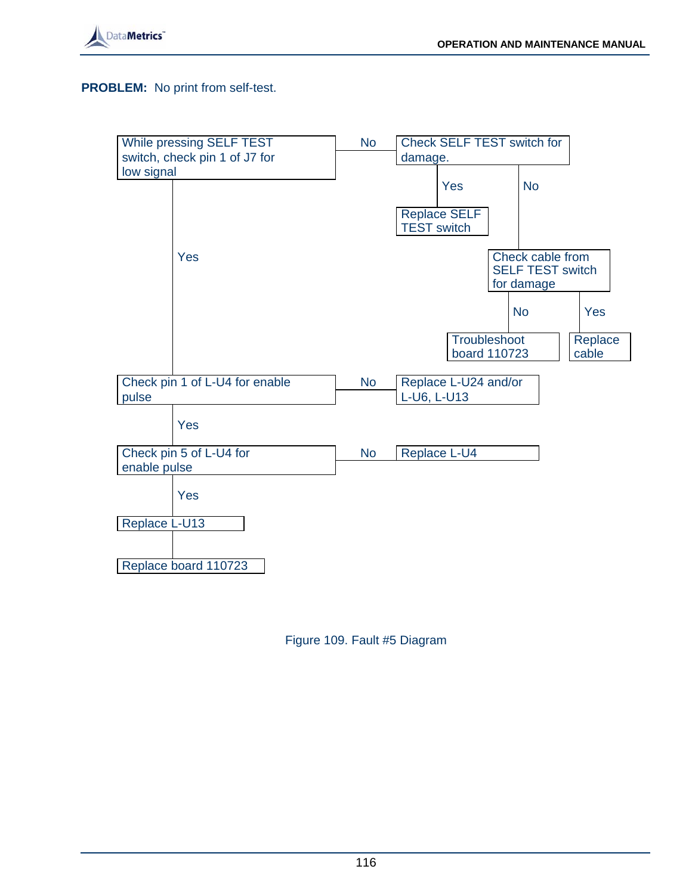

#### **PROBLEM:** No print from self-test.



Figure 109. Fault #5 Diagram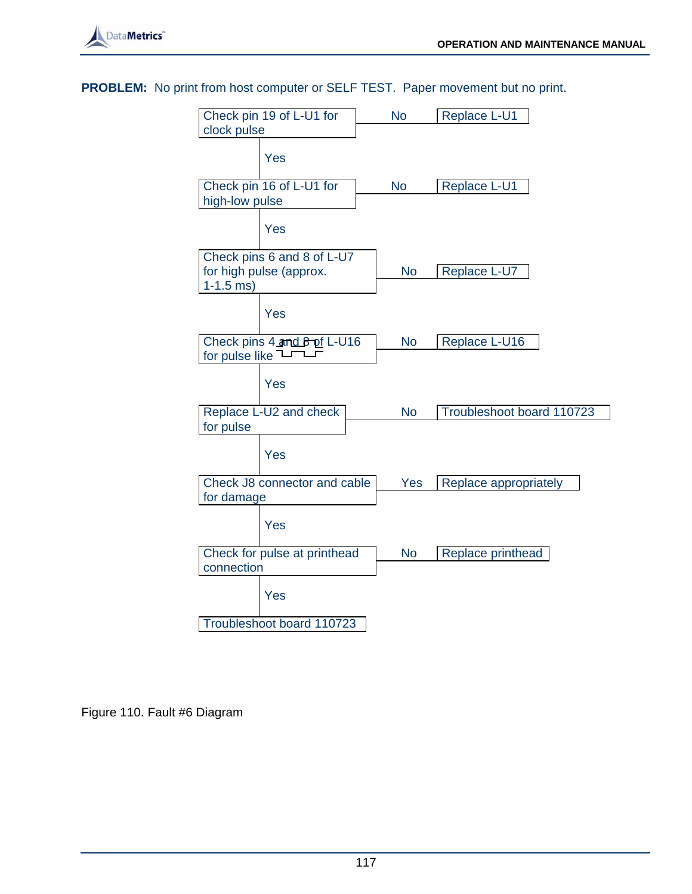

**PROBLEM:** No print from host computer or SELF TEST. Paper movement but no print.



Figure 110. Fault #6 Diagram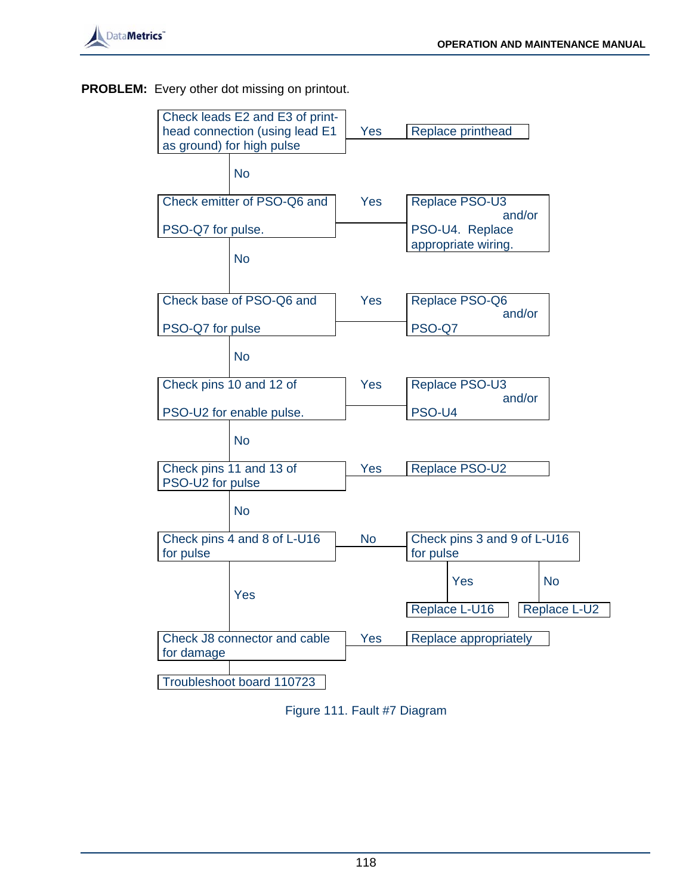

# **PROBLEM:** Every other dot missing on printout.

| Check leads E2 and E3 of print- |           |                               |  |  |
|---------------------------------|-----------|-------------------------------|--|--|
| head connection (using lead E1  | Yes       | Replace printhead             |  |  |
| as ground) for high pulse       |           |                               |  |  |
| <b>No</b>                       |           |                               |  |  |
| Check emitter of PSO-Q6 and     | Yes       | Replace PSO-U3<br>and/or      |  |  |
| PSO-Q7 for pulse.               |           | PSO-U4. Replace               |  |  |
| <b>No</b>                       |           | appropriate wiring.           |  |  |
| Check base of PSO-Q6 and        | Yes       | Replace PSO-Q6<br>and/or      |  |  |
| PSO-Q7 for pulse                |           | PSO-Q7                        |  |  |
| <b>No</b>                       |           |                               |  |  |
| Check pins 10 and 12 of         | Yes       | Replace PSO-U3<br>and/or      |  |  |
| PSO-U2 for enable pulse.        |           | PSO-U4                        |  |  |
| <b>No</b>                       |           |                               |  |  |
| Check pins 11 and 13 of         | Yes       | Replace PSO-U2                |  |  |
| PSO-U2 for pulse                |           |                               |  |  |
| <b>No</b>                       |           |                               |  |  |
| Check pins 4 and 8 of L-U16     | <b>No</b> | Check pins 3 and 9 of L-U16   |  |  |
| for pulse                       |           | for pulse                     |  |  |
| Yes                             |           | <b>No</b><br>Yes              |  |  |
|                                 |           | Replace L-U2<br>Replace L-U16 |  |  |
| Check J8 connector and cable    | Yes       | Replace appropriately         |  |  |
| for damage                      |           |                               |  |  |
|                                 |           |                               |  |  |
| Troubleshoot board 110723       |           |                               |  |  |

Figure 111. Fault #7 Diagram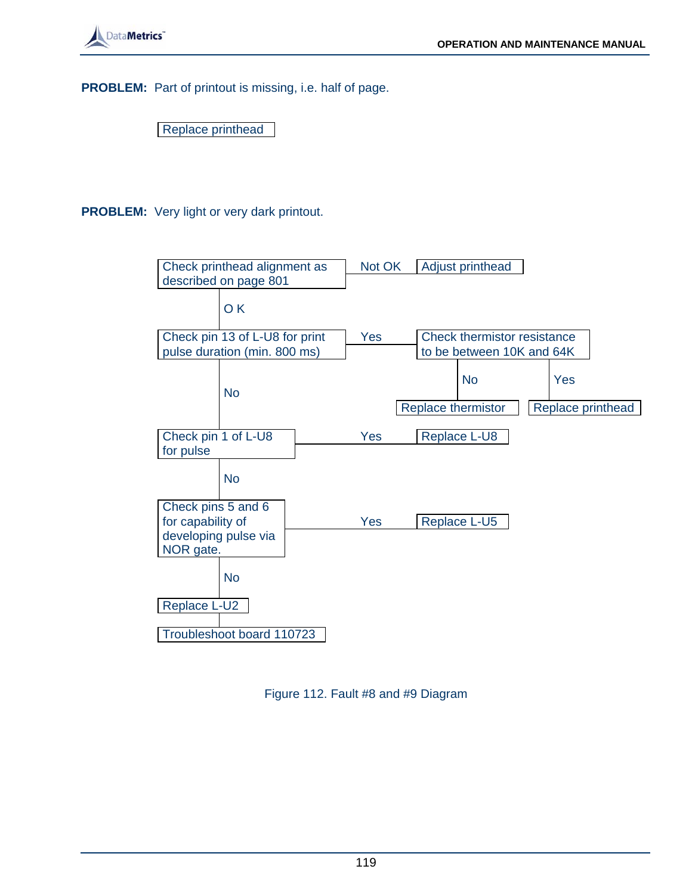**PROBLEM:** Part of printout is missing, i.e. half of page.

Replace printhead

**PROBLEM:** Very light or very dark printout.



Figure 112. Fault #8 and #9 Diagram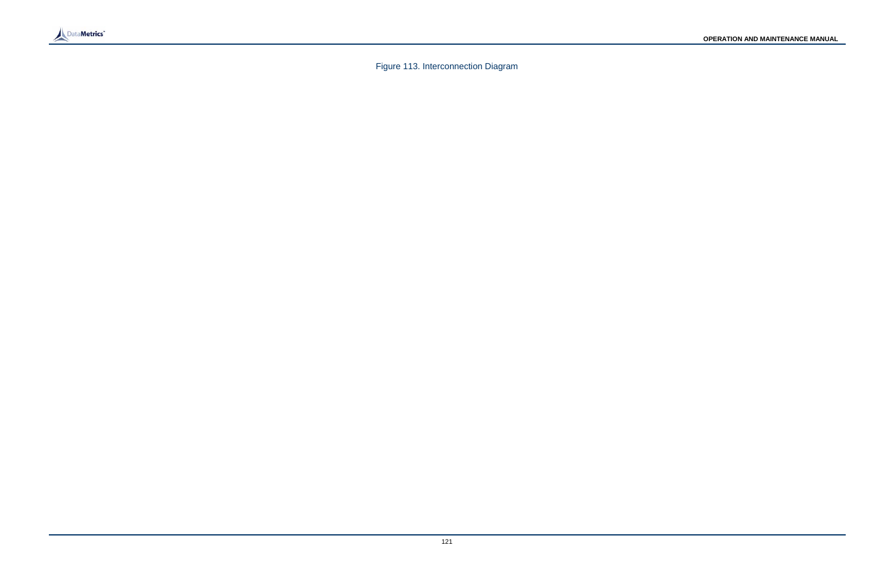

Figure 113. Interconnection Diagram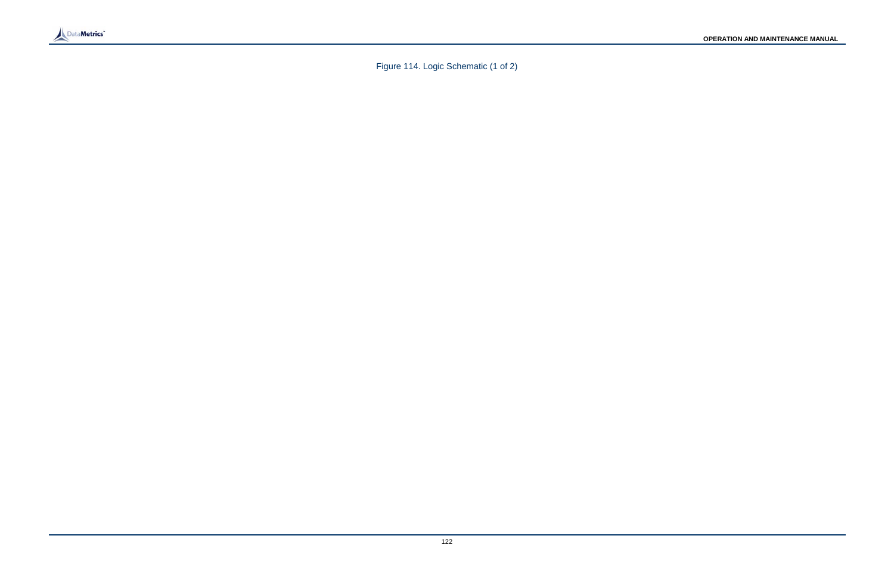

Figure 114. Logic Schematic (1 of 2)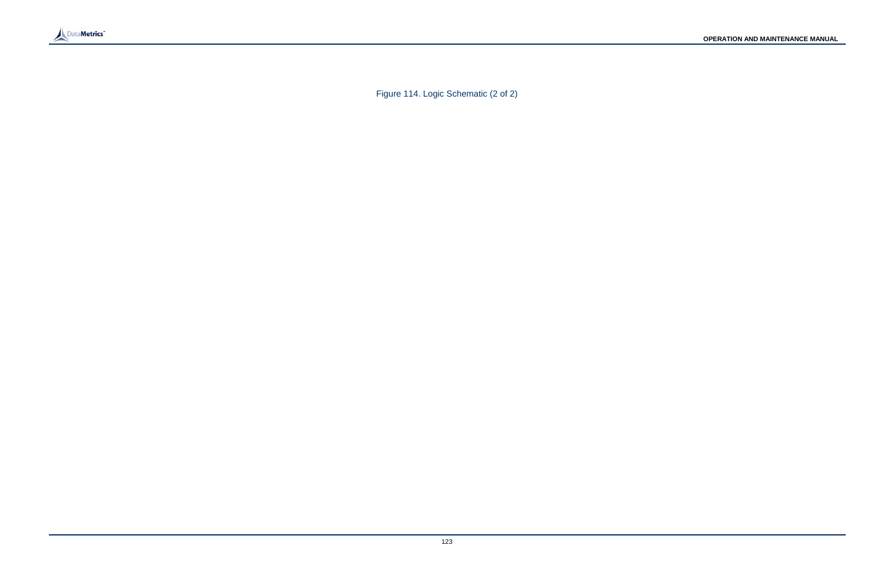

Figure 114. Logic Schematic (2 of 2)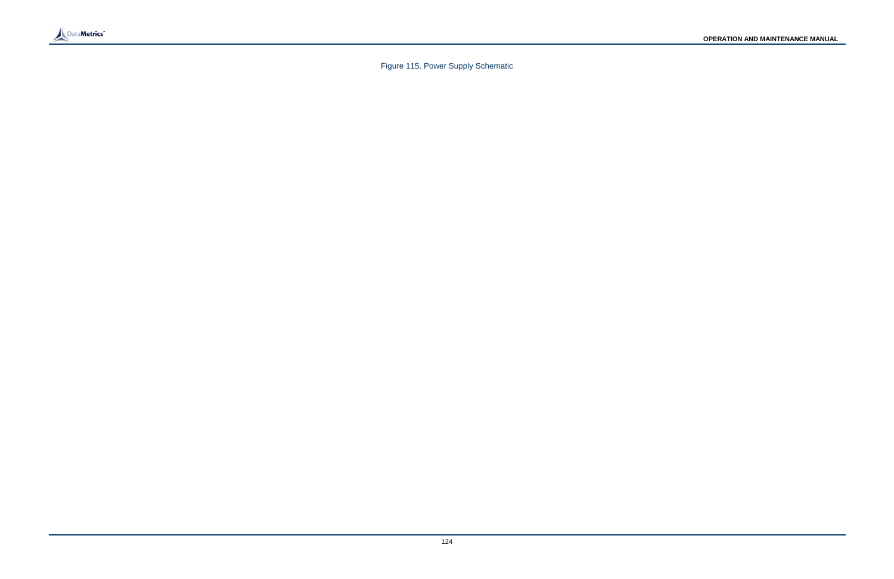

Figure 115. Power Supply Schematic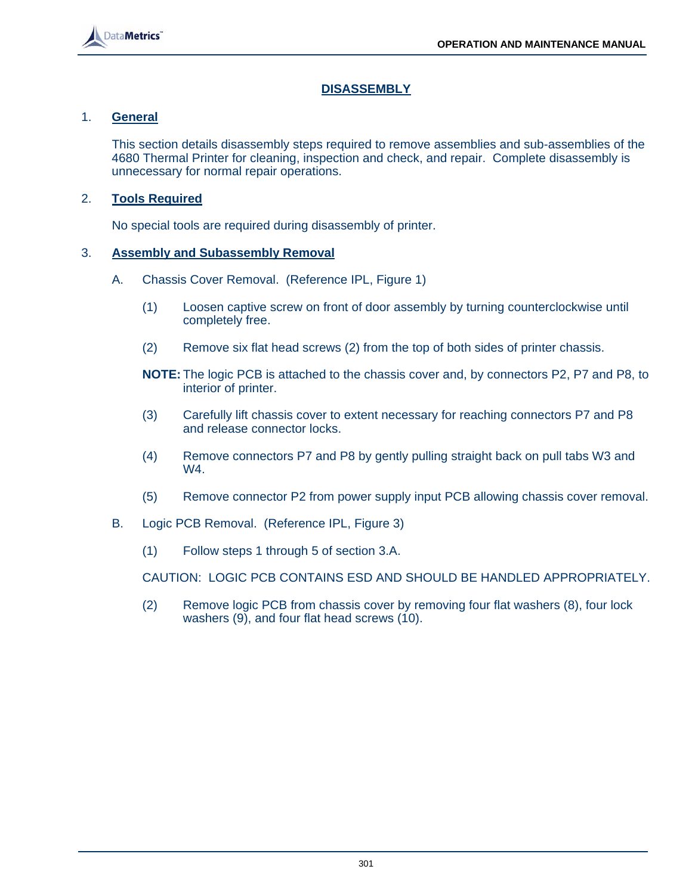

# **DISASSEMBLY**

#### 1. **General**

 This section details disassembly steps required to remove assemblies and sub-assemblies of the 4680 Thermal Printer for cleaning, inspection and check, and repair. Complete disassembly is unnecessary for normal repair operations.

#### 2. **Tools Required**

No special tools are required during disassembly of printer.

#### 3. **Assembly and Subassembly Removal**

- A. Chassis Cover Removal. (Reference IPL, Figure 1)
	- (1) Loosen captive screw on front of door assembly by turning counterclockwise until completely free.
	- (2) Remove six flat head screws (2) from the top of both sides of printer chassis.

 **NOTE:** The logic PCB is attached to the chassis cover and, by connectors P2, P7 and P8, to interior of printer.

- (3) Carefully lift chassis cover to extent necessary for reaching connectors P7 and P8 and release connector locks.
- (4) Remove connectors P7 and P8 by gently pulling straight back on pull tabs W3 and W4.
- (5) Remove connector P2 from power supply input PCB allowing chassis cover removal.
- B. Logic PCB Removal. (Reference IPL, Figure 3)
	- (1) Follow steps 1 through 5 of section 3.A.

CAUTION: LOGIC PCB CONTAINS ESD AND SHOULD BE HANDLED APPROPRIATELY.

 (2) Remove logic PCB from chassis cover by removing four flat washers (8), four lock washers (9), and four flat head screws (10).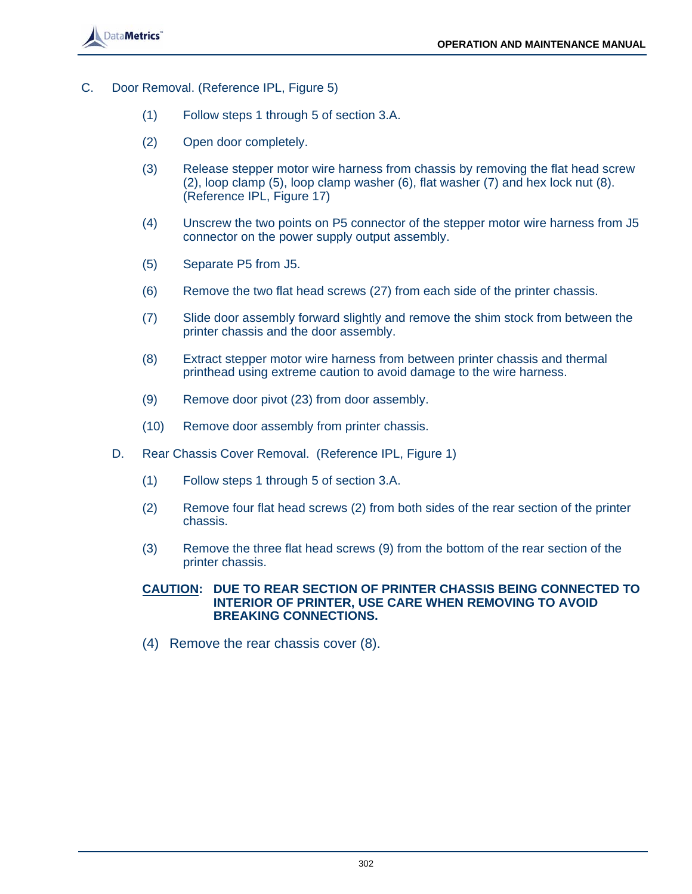

- C. Door Removal. (Reference IPL, Figure 5)
	- (1) Follow steps 1 through 5 of section 3.A.
	- (2) Open door completely.
	- (3) Release stepper motor wire harness from chassis by removing the flat head screw (2), loop clamp (5), loop clamp washer (6), flat washer (7) and hex lock nut (8). (Reference IPL, Figure 17)
	- (4) Unscrew the two points on P5 connector of the stepper motor wire harness from J5 connector on the power supply output assembly.
	- (5) Separate P5 from J5.
	- (6) Remove the two flat head screws (27) from each side of the printer chassis.
	- (7) Slide door assembly forward slightly and remove the shim stock from between the printer chassis and the door assembly.
	- (8) Extract stepper motor wire harness from between printer chassis and thermal printhead using extreme caution to avoid damage to the wire harness.
	- (9) Remove door pivot (23) from door assembly.
	- (10) Remove door assembly from printer chassis.
	- D. Rear Chassis Cover Removal. (Reference IPL, Figure 1)
		- (1) Follow steps 1 through 5 of section 3.A.
		- (2) Remove four flat head screws (2) from both sides of the rear section of the printer chassis.
		- (3) Remove the three flat head screws (9) from the bottom of the rear section of the printer chassis.

#### **CAUTION: DUE TO REAR SECTION OF PRINTER CHASSIS BEING CONNECTED TO INTERIOR OF PRINTER, USE CARE WHEN REMOVING TO AVOID BREAKING CONNECTIONS.**

(4) Remove the rear chassis cover (8).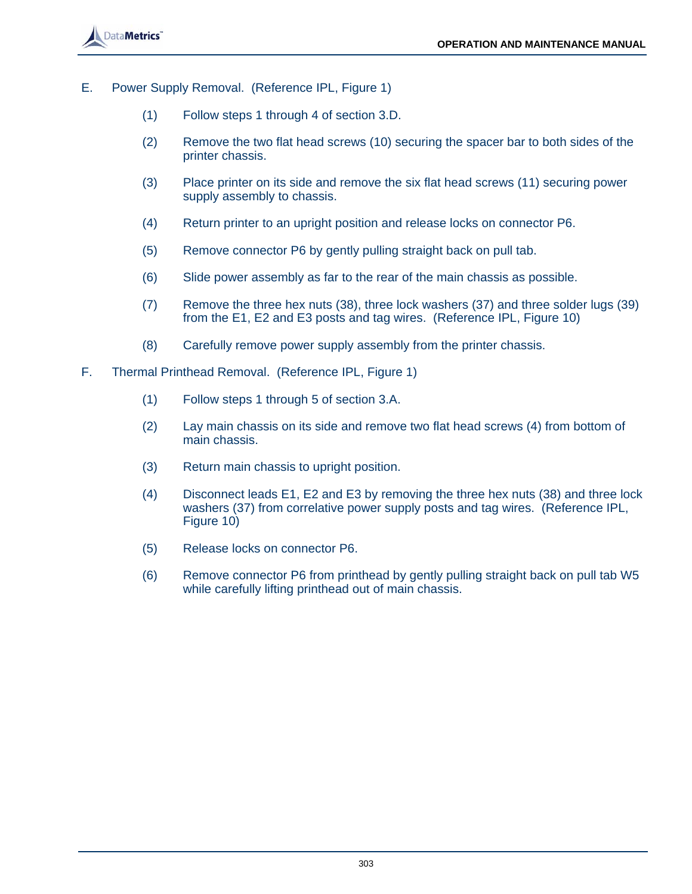

- E. Power Supply Removal. (Reference IPL, Figure 1)
	- (1) Follow steps 1 through 4 of section 3.D.
	- (2) Remove the two flat head screws (10) securing the spacer bar to both sides of the printer chassis.
	- (3) Place printer on its side and remove the six flat head screws (11) securing power supply assembly to chassis.
	- (4) Return printer to an upright position and release locks on connector P6.
	- (5) Remove connector P6 by gently pulling straight back on pull tab.
	- (6) Slide power assembly as far to the rear of the main chassis as possible.
	- (7) Remove the three hex nuts (38), three lock washers (37) and three solder lugs (39) from the E1, E2 and E3 posts and tag wires. (Reference IPL, Figure 10)
	- (8) Carefully remove power supply assembly from the printer chassis.
- F. Thermal Printhead Removal. (Reference IPL, Figure 1)
	- (1) Follow steps 1 through 5 of section 3.A.
	- (2) Lay main chassis on its side and remove two flat head screws (4) from bottom of main chassis.
	- (3) Return main chassis to upright position.
	- (4) Disconnect leads E1, E2 and E3 by removing the three hex nuts (38) and three lock washers (37) from correlative power supply posts and tag wires. (Reference IPL, Figure 10)
	- (5) Release locks on connector P6.
	- (6) Remove connector P6 from printhead by gently pulling straight back on pull tab W5 while carefully lifting printhead out of main chassis.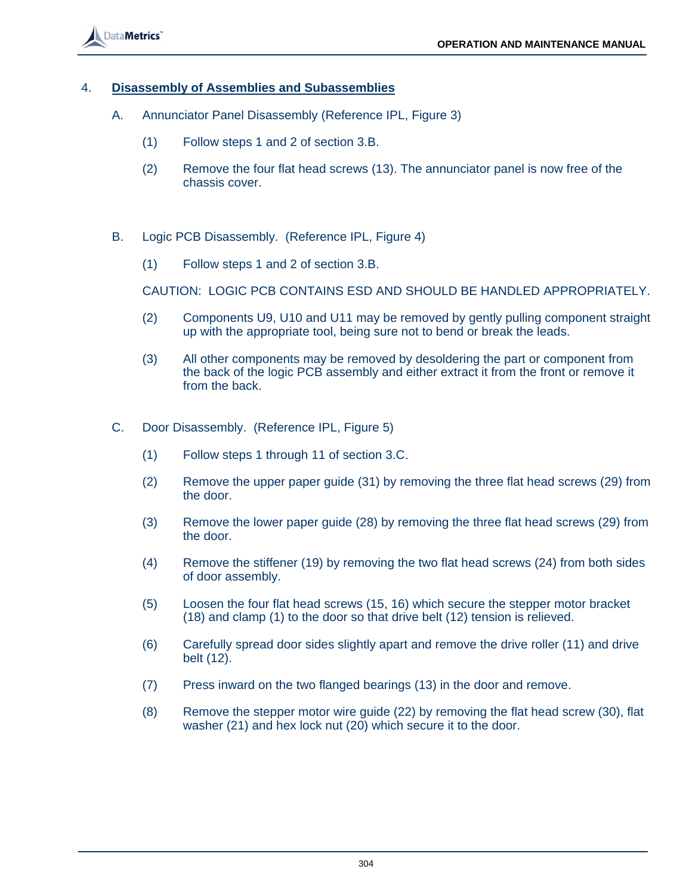

#### 4. **Disassembly of Assemblies and Subassemblies**

- A. Annunciator Panel Disassembly (Reference IPL, Figure 3)
	- (1) Follow steps 1 and 2 of section 3.B.
	- (2) Remove the four flat head screws (13). The annunciator panel is now free of the chassis cover.
- B. Logic PCB Disassembly. (Reference IPL, Figure 4)
	- (1) Follow steps 1 and 2 of section 3.B.

CAUTION: LOGIC PCB CONTAINS ESD AND SHOULD BE HANDLED APPROPRIATELY.

- (2) Components U9, U10 and U11 may be removed by gently pulling component straight up with the appropriate tool, being sure not to bend or break the leads.
- (3) All other components may be removed by desoldering the part or component from the back of the logic PCB assembly and either extract it from the front or remove it from the back.
- C. Door Disassembly. (Reference IPL, Figure 5)
	- (1) Follow steps 1 through 11 of section 3.C.
	- (2) Remove the upper paper guide (31) by removing the three flat head screws (29) from the door.
	- (3) Remove the lower paper guide (28) by removing the three flat head screws (29) from the door.
	- (4) Remove the stiffener (19) by removing the two flat head screws (24) from both sides of door assembly.
	- (5) Loosen the four flat head screws (15, 16) which secure the stepper motor bracket (18) and clamp (1) to the door so that drive belt (12) tension is relieved.
	- (6) Carefully spread door sides slightly apart and remove the drive roller (11) and drive belt (12).
	- (7) Press inward on the two flanged bearings (13) in the door and remove.
	- (8) Remove the stepper motor wire guide (22) by removing the flat head screw (30), flat washer (21) and hex lock nut (20) which secure it to the door.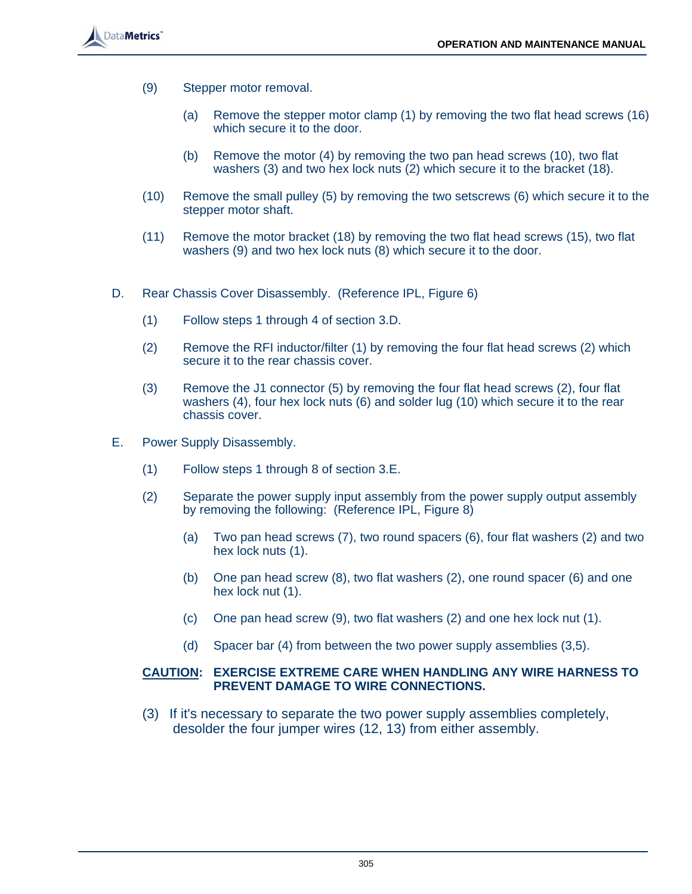

- (9) Stepper motor removal.
	- (a) Remove the stepper motor clamp (1) by removing the two flat head screws (16) which secure it to the door.
	- (b) Remove the motor (4) by removing the two pan head screws (10), two flat washers (3) and two hex lock nuts (2) which secure it to the bracket (18).
- (10) Remove the small pulley (5) by removing the two setscrews (6) which secure it to the stepper motor shaft.
- (11) Remove the motor bracket (18) by removing the two flat head screws (15), two flat washers (9) and two hex lock nuts (8) which secure it to the door.
- D. Rear Chassis Cover Disassembly. (Reference IPL, Figure 6)
	- (1) Follow steps 1 through 4 of section 3.D.
	- (2) Remove the RFI inductor/filter (1) by removing the four flat head screws (2) which secure it to the rear chassis cover.
	- (3) Remove the J1 connector (5) by removing the four flat head screws (2), four flat washers (4), four hex lock nuts (6) and solder lug (10) which secure it to the rear chassis cover.
- E. Power Supply Disassembly.
	- (1) Follow steps 1 through 8 of section 3.E.
	- (2) Separate the power supply input assembly from the power supply output assembly by removing the following: (Reference IPL, Figure 8)
		- (a) Two pan head screws (7), two round spacers (6), four flat washers (2) and two hex lock nuts (1).
		- (b) One pan head screw (8), two flat washers (2), one round spacer (6) and one hex lock nut (1).
		- (c) One pan head screw (9), two flat washers (2) and one hex lock nut (1).
		- (d) Spacer bar (4) from between the two power supply assemblies (3,5).

#### **CAUTION: EXERCISE EXTREME CARE WHEN HANDLING ANY WIRE HARNESS TO PREVENT DAMAGE TO WIRE CONNECTIONS.**

 (3) If it's necessary to separate the two power supply assemblies completely, desolder the four jumper wires (12, 13) from either assembly.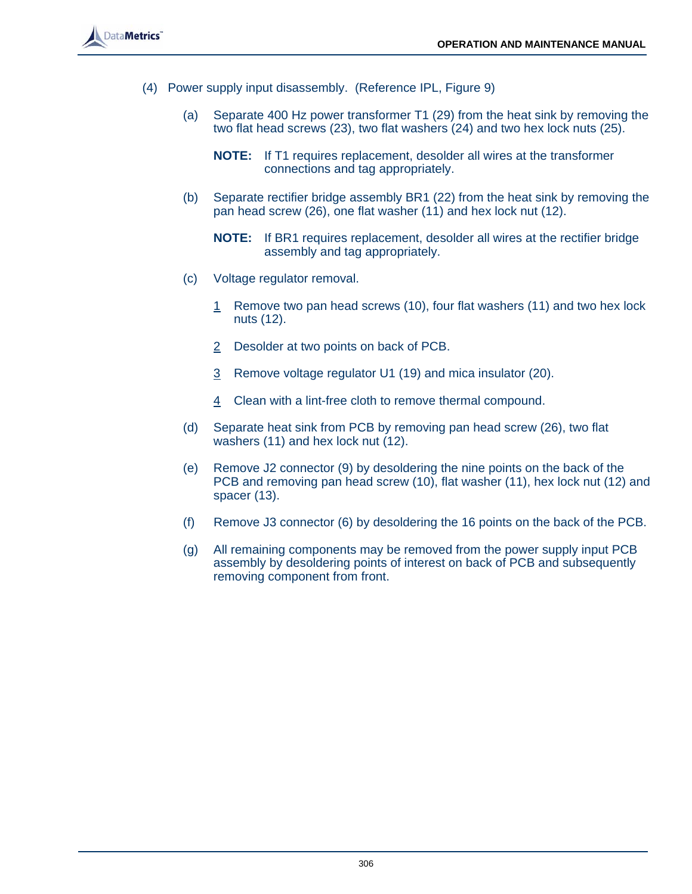

- (4) Power supply input disassembly. (Reference IPL, Figure 9)
	- (a) Separate 400 Hz power transformer T1 (29) from the heat sink by removing the two flat head screws (23), two flat washers (24) and two hex lock nuts (25).
		- **NOTE:** If T1 requires replacement, desolder all wires at the transformer connections and tag appropriately.
	- (b) Separate rectifier bridge assembly BR1 (22) from the heat sink by removing the pan head screw (26), one flat washer (11) and hex lock nut (12).
		- **NOTE:** If BR1 requires replacement, desolder all wires at the rectifier bridge assembly and tag appropriately.
	- (c) Voltage regulator removal.
		- 1 Remove two pan head screws (10), four flat washers (11) and two hex lock nuts (12).
		- 2 Desolder at two points on back of PCB.
		- 3 Remove voltage regulator U1 (19) and mica insulator (20).
		- 4 Clean with a lint-free cloth to remove thermal compound.
	- (d) Separate heat sink from PCB by removing pan head screw (26), two flat washers (11) and hex lock nut (12).
	- (e) Remove J2 connector (9) by desoldering the nine points on the back of the PCB and removing pan head screw (10), flat washer (11), hex lock nut (12) and spacer (13).
	- (f) Remove J3 connector (6) by desoldering the 16 points on the back of the PCB.
	- (g) All remaining components may be removed from the power supply input PCB assembly by desoldering points of interest on back of PCB and subsequently removing component from front.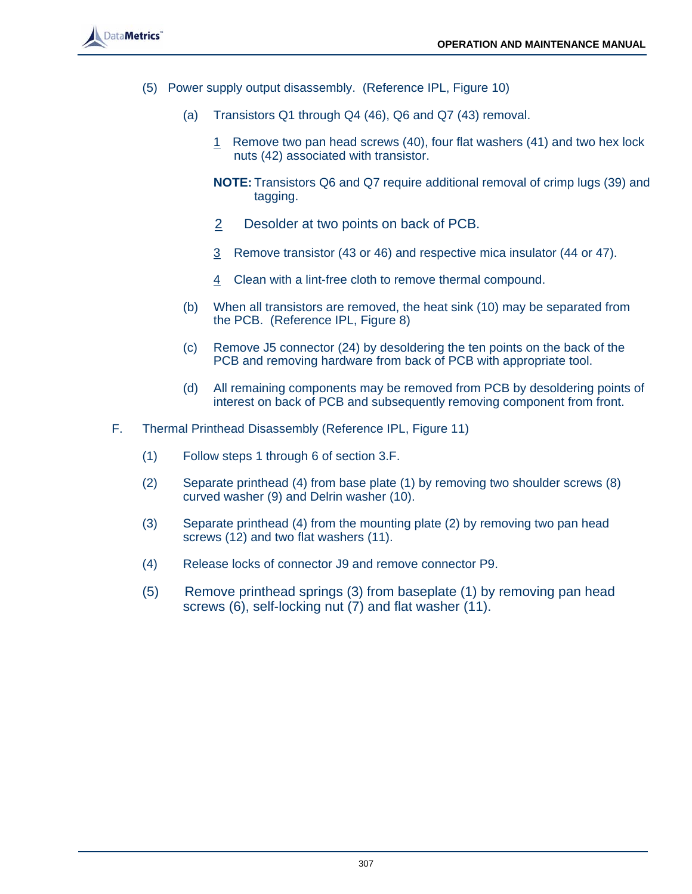

- (5) Power supply output disassembly. (Reference IPL, Figure 10)
	- (a) Transistors Q1 through Q4 (46), Q6 and Q7 (43) removal.
		- 1 Remove two pan head screws (40), four flat washers (41) and two hex lock nuts (42) associated with transistor.
		- **NOTE:** Transistors Q6 and Q7 require additional removal of crimp lugs (39) and tagging.
		- 2 Desolder at two points on back of PCB.
		- 3 Remove transistor (43 or 46) and respective mica insulator (44 or 47).
		- 4 Clean with a lint-free cloth to remove thermal compound.
	- (b) When all transistors are removed, the heat sink (10) may be separated from the PCB. (Reference IPL, Figure 8)
	- (c) Remove J5 connector (24) by desoldering the ten points on the back of the PCB and removing hardware from back of PCB with appropriate tool.
	- (d) All remaining components may be removed from PCB by desoldering points of interest on back of PCB and subsequently removing component from front.
- F. Thermal Printhead Disassembly (Reference IPL, Figure 11)
	- (1) Follow steps 1 through 6 of section 3.F.
	- (2) Separate printhead (4) from base plate (1) by removing two shoulder screws (8) curved washer (9) and Delrin washer (10).
	- (3) Separate printhead (4) from the mounting plate (2) by removing two pan head screws (12) and two flat washers (11).
	- (4) Release locks of connector J9 and remove connector P9.
	- (5) Remove printhead springs (3) from baseplate (1) by removing pan head screws (6), self-locking nut (7) and flat washer (11).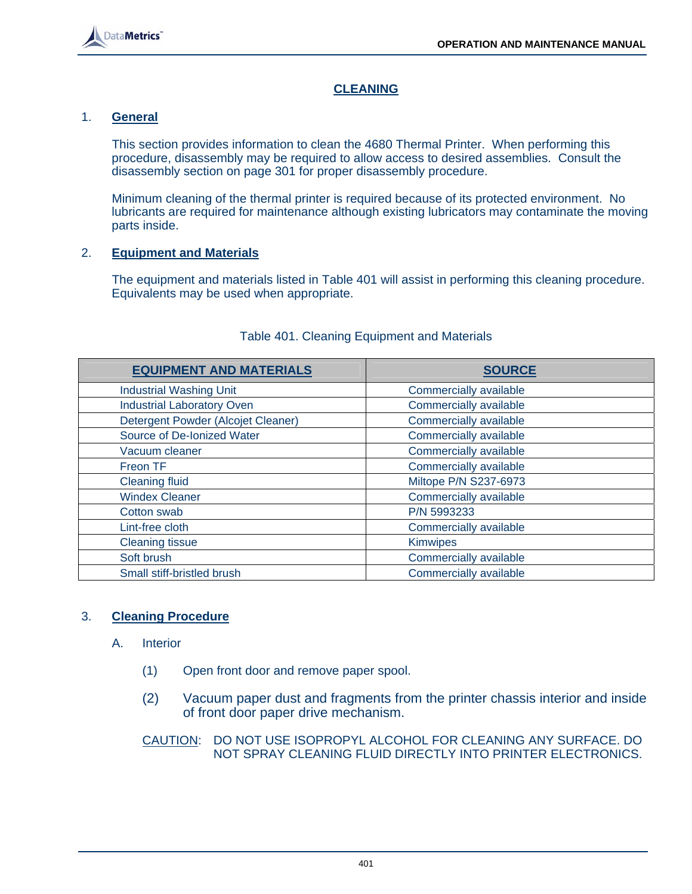

# **CLEANING**

# 1. **General**

 This section provides information to clean the 4680 Thermal Printer. When performing this procedure, disassembly may be required to allow access to desired assemblies. Consult the disassembly section on page 301 for proper disassembly procedure.

 Minimum cleaning of the thermal printer is required because of its protected environment. No lubricants are required for maintenance although existing lubricators may contaminate the moving parts inside.

# 2. **Equipment and Materials**

 The equipment and materials listed in Table 401 will assist in performing this cleaning procedure. Equivalents may be used when appropriate.

| <b>EQUIPMENT AND MATERIALS</b>     | <b>SOURCE</b>          |
|------------------------------------|------------------------|
| <b>Industrial Washing Unit</b>     | Commercially available |
| <b>Industrial Laboratory Oven</b>  | Commercially available |
| Detergent Powder (Alcojet Cleaner) | Commercially available |
| Source of De-Ionized Water         | Commercially available |
| Vacuum cleaner                     | Commercially available |
| Freon TF                           | Commercially available |
| <b>Cleaning fluid</b>              | Miltope P/N S237-6973  |
| <b>Windex Cleaner</b>              | Commercially available |
| Cotton swab                        | P/N 5993233            |
| Lint-free cloth                    | Commercially available |
| <b>Cleaning tissue</b>             | <b>Kimwipes</b>        |
| Soft brush                         | Commercially available |
| Small stiff-bristled brush         | Commercially available |

# Table 401. Cleaning Equipment and Materials

# 3. **Cleaning Procedure**

- A. Interior
	- (1) Open front door and remove paper spool.
	- (2) Vacuum paper dust and fragments from the printer chassis interior and inside of front door paper drive mechanism.

# CAUTION: DO NOT USE ISOPROPYL ALCOHOL FOR CLEANING ANY SURFACE. DO NOT SPRAY CLEANING FLUID DIRECTLY INTO PRINTER ELECTRONICS.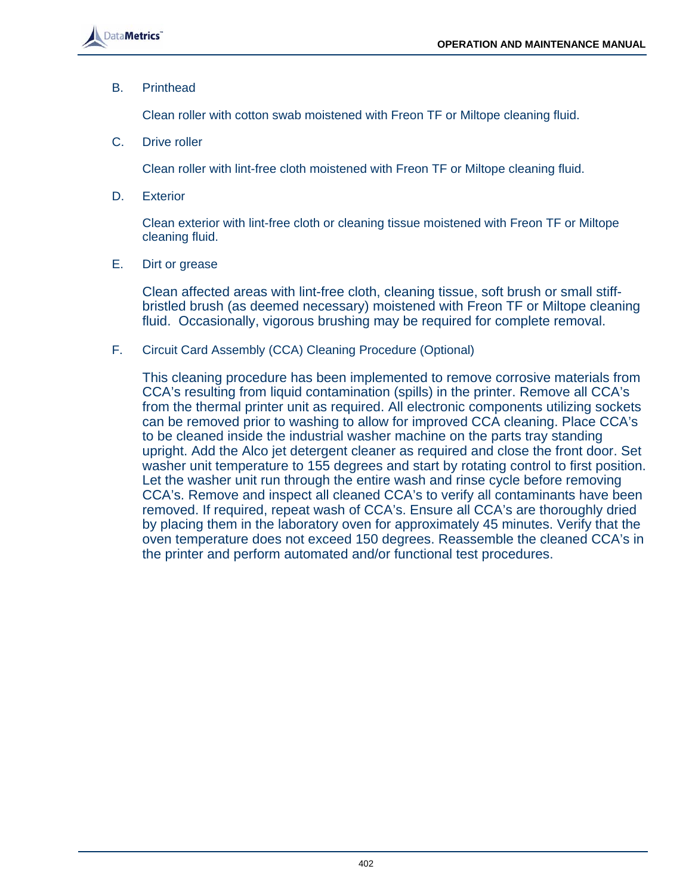B. Printhead

Clean roller with cotton swab moistened with Freon TF or Miltope cleaning fluid.

C. Drive roller

Clean roller with lint-free cloth moistened with Freon TF or Miltope cleaning fluid.

D. Exterior

 Clean exterior with lint-free cloth or cleaning tissue moistened with Freon TF or Miltope cleaning fluid.

E. Dirt or grease

 Clean affected areas with lint-free cloth, cleaning tissue, soft brush or small stiffbristled brush (as deemed necessary) moistened with Freon TF or Miltope cleaning fluid. Occasionally, vigorous brushing may be required for complete removal.

F. Circuit Card Assembly (CCA) Cleaning Procedure (Optional)

 This cleaning procedure has been implemented to remove corrosive materials from CCA's resulting from liquid contamination (spills) in the printer. Remove all CCA's from the thermal printer unit as required. All electronic components utilizing sockets can be removed prior to washing to allow for improved CCA cleaning. Place CCA's to be cleaned inside the industrial washer machine on the parts tray standing upright. Add the Alco jet detergent cleaner as required and close the front door. Set washer unit temperature to 155 degrees and start by rotating control to first position. Let the washer unit run through the entire wash and rinse cycle before removing CCA's. Remove and inspect all cleaned CCA's to verify all contaminants have been removed. If required, repeat wash of CCA's. Ensure all CCA's are thoroughly dried by placing them in the laboratory oven for approximately 45 minutes. Verify that the oven temperature does not exceed 150 degrees. Reassemble the cleaned CCA's in the printer and perform automated and/or functional test procedures.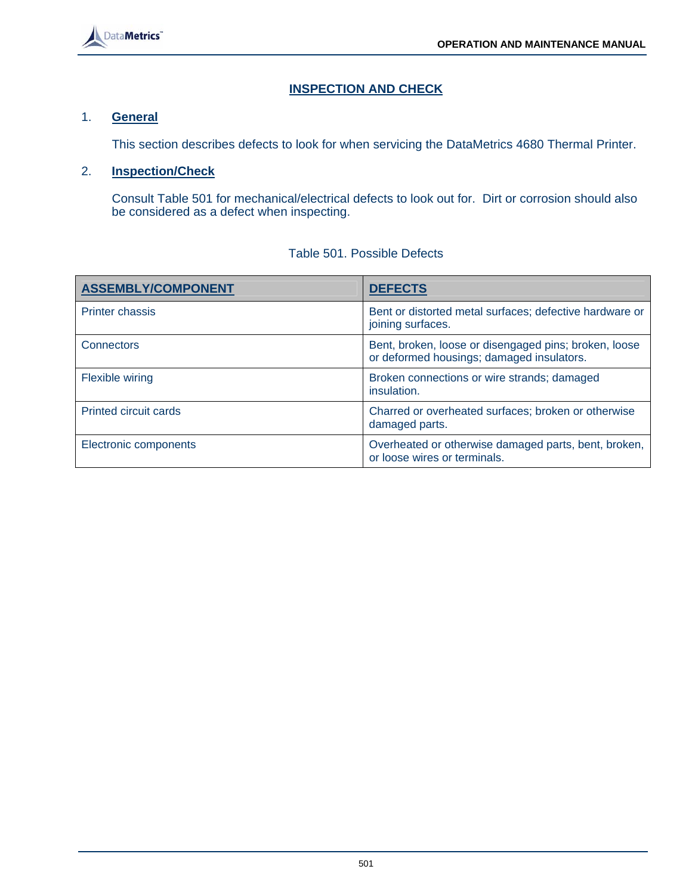

# **INSPECTION AND CHECK**

#### 1. **General**

This section describes defects to look for when servicing the DataMetrics 4680 Thermal Printer.

#### 2. **Inspection/Check**

 Consult Table 501 for mechanical/electrical defects to look out for. Dirt or corrosion should also be considered as a defect when inspecting.

| <b>ASSEMBLY/COMPONENT</b>    | <b>DEFECTS</b>                                                                                     |
|------------------------------|----------------------------------------------------------------------------------------------------|
| <b>Printer chassis</b>       | Bent or distorted metal surfaces; defective hardware or<br>joining surfaces.                       |
| <b>Connectors</b>            | Bent, broken, loose or disengaged pins; broken, loose<br>or deformed housings; damaged insulators. |
| <b>Flexible wiring</b>       | Broken connections or wire strands; damaged<br>insulation.                                         |
| <b>Printed circuit cards</b> | Charred or overheated surfaces; broken or otherwise<br>damaged parts.                              |
| Electronic components        | Overheated or otherwise damaged parts, bent, broken,<br>or loose wires or terminals.               |

#### Table 501. Possible Defects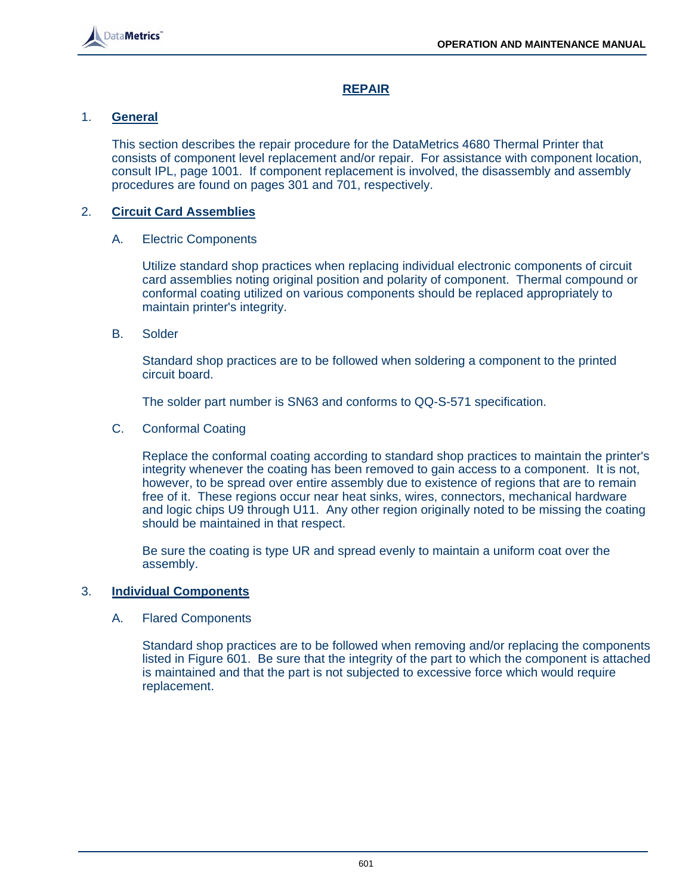

# **REPAIR**

# 1. **General**

 This section describes the repair procedure for the DataMetrics 4680 Thermal Printer that consists of component level replacement and/or repair. For assistance with component location, consult IPL, page 1001. If component replacement is involved, the disassembly and assembly procedures are found on pages 301 and 701, respectively.

# 2. **Circuit Card Assemblies**

# A. Electric Components

 Utilize standard shop practices when replacing individual electronic components of circuit card assemblies noting original position and polarity of component. Thermal compound or conformal coating utilized on various components should be replaced appropriately to maintain printer's integrity.

#### B. Solder

 Standard shop practices are to be followed when soldering a component to the printed circuit board.

The solder part number is SN63 and conforms to QQ-S-571 specification.

#### C. Conformal Coating

 Replace the conformal coating according to standard shop practices to maintain the printer's integrity whenever the coating has been removed to gain access to a component. It is not, however, to be spread over entire assembly due to existence of regions that are to remain free of it. These regions occur near heat sinks, wires, connectors, mechanical hardware and logic chips U9 through U11. Any other region originally noted to be missing the coating should be maintained in that respect.

 Be sure the coating is type UR and spread evenly to maintain a uniform coat over the assembly.

#### 3. **Individual Components**

# A. Flared Components

 Standard shop practices are to be followed when removing and/or replacing the components listed in Figure 601. Be sure that the integrity of the part to which the component is attached is maintained and that the part is not subjected to excessive force which would require replacement.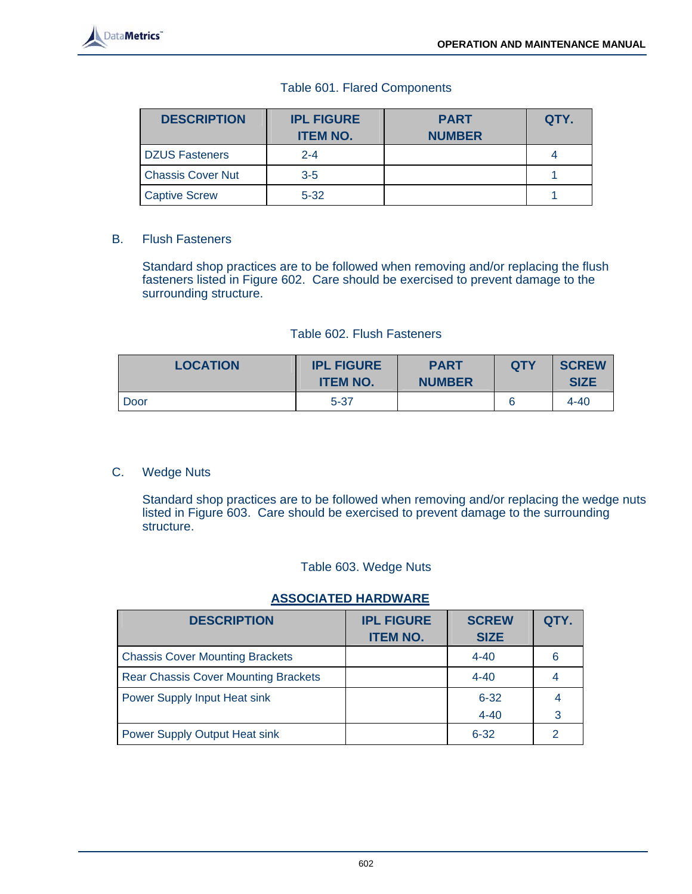

#### Table 601. Flared Components

| <b>DESCRIPTION</b>       | <b>IPL FIGURE</b><br><b>ITEM NO.</b> | <b>PART</b><br><b>NUMBER</b> | QTY. |
|--------------------------|--------------------------------------|------------------------------|------|
| <b>DZUS Fasteners</b>    | $2 - 4$                              |                              |      |
| <b>Chassis Cover Nut</b> | $3 - 5$                              |                              |      |
| <b>Captive Screw</b>     | $5 - 32$                             |                              |      |

#### B. Flush Fasteners

 Standard shop practices are to be followed when removing and/or replacing the flush fasteners listed in Figure 602. Care should be exercised to prevent damage to the surrounding structure.

#### Table 602. Flush Fasteners

| <b>LOCATION</b> | <b>IPL FIGURE</b><br><b>ITEM NO.</b> | <b>PART</b><br><b>NUMBER</b> | <b>QTY</b> | <b>SCREW</b><br><b>SIZE</b> |
|-----------------|--------------------------------------|------------------------------|------------|-----------------------------|
| Door            | $5 - 37$                             |                              | 6          | 4-40                        |

#### C. Wedge Nuts

 Standard shop practices are to be followed when removing and/or replacing the wedge nuts listed in Figure 603. Care should be exercised to prevent damage to the surrounding structure.

#### Table 603. Wedge Nuts

#### **ASSOCIATED HARDWARE**

| <b>DESCRIPTION</b>                          | <b>IPL FIGURE</b><br><b>ITEM NO.</b> | <b>SCREW</b><br><b>SIZE</b> | QTY.          |
|---------------------------------------------|--------------------------------------|-----------------------------|---------------|
| <b>Chassis Cover Mounting Brackets</b>      |                                      | $4 - 40$                    | 6             |
| <b>Rear Chassis Cover Mounting Brackets</b> |                                      | $4 - 40$                    |               |
| Power Supply Input Heat sink                |                                      | $6 - 32$                    | 4             |
|                                             |                                      | $4 - 40$                    | 3             |
| Power Supply Output Heat sink               |                                      | $6 - 32$                    | $\mathcal{P}$ |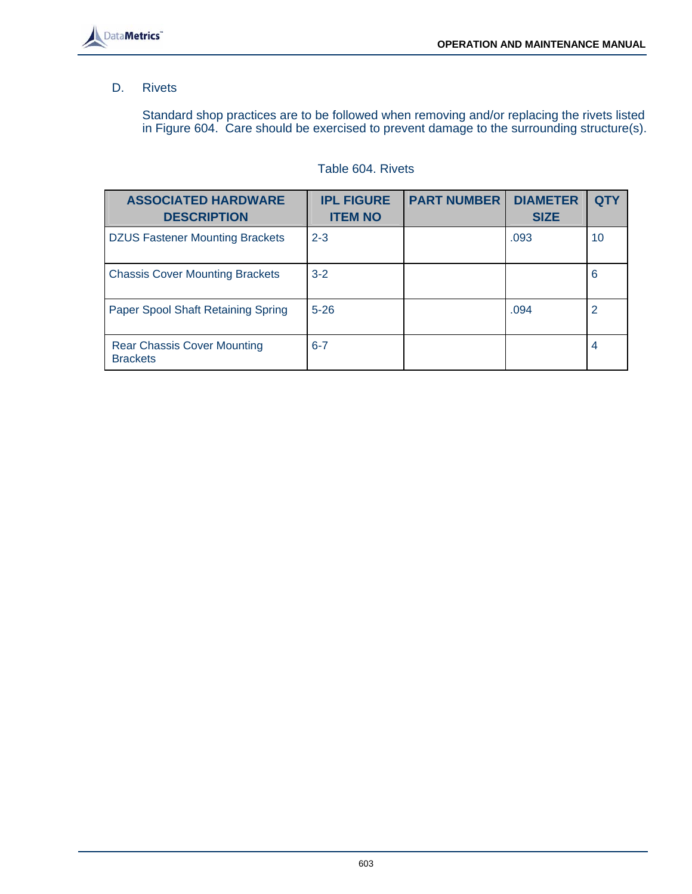

#### D. Rivets

 Standard shop practices are to be followed when removing and/or replacing the rivets listed in Figure 604. Care should be exercised to prevent damage to the surrounding structure(s).

# Table 604. Rivets

| <b>ASSOCIATED HARDWARE</b><br><b>DESCRIPTION</b>      | <b>IPL FIGURE</b><br><b>ITEM NO</b> | <b>PART NUMBER</b> | <b>DIAMETER</b><br><b>SIZE</b> |    |
|-------------------------------------------------------|-------------------------------------|--------------------|--------------------------------|----|
| <b>DZUS Fastener Mounting Brackets</b>                | $2 - 3$                             |                    | .093                           | 10 |
| <b>Chassis Cover Mounting Brackets</b>                | $3 - 2$                             |                    |                                | 6  |
| Paper Spool Shaft Retaining Spring                    | $5 - 26$                            |                    | .094                           | 2  |
| <b>Rear Chassis Cover Mounting</b><br><b>Brackets</b> | $6 - 7$                             |                    |                                | 4  |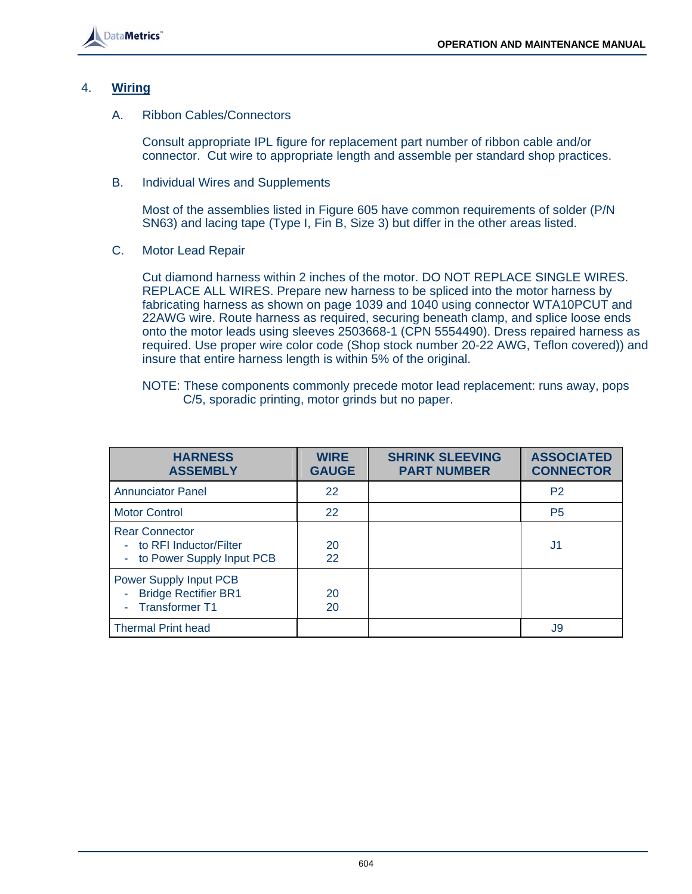

#### 4. **Wiring**

A. Ribbon Cables/Connectors

 Consult appropriate IPL figure for replacement part number of ribbon cable and/or connector. Cut wire to appropriate length and assemble per standard shop practices.

B. Individual Wires and Supplements

 Most of the assemblies listed in Figure 605 have common requirements of solder (P/N SN63) and lacing tape (Type I, Fin B, Size 3) but differ in the other areas listed.

C. Motor Lead Repair

 Cut diamond harness within 2 inches of the motor. DO NOT REPLACE SINGLE WIRES. REPLACE ALL WIRES. Prepare new harness to be spliced into the motor harness by fabricating harness as shown on page 1039 and 1040 using connector WTA10PCUT and 22AWG wire. Route harness as required, securing beneath clamp, and splice loose ends onto the motor leads using sleeves 2503668-1 (CPN 5554490). Dress repaired harness as required. Use proper wire color code (Shop stock number 20-22 AWG, Teflon covered)) and insure that entire harness length is within 5% of the original.

| NOTE: These components commonly precede motor lead replacement: runs away, pops |
|---------------------------------------------------------------------------------|
| C/5, sporadic printing, motor grinds but no paper.                              |

| <b>HARNESS</b><br><b>ASSEMBLY</b>                                                | <b>WIRE</b><br><b>GAUGE</b> | <b>SHRINK SLEEVING</b><br><b>PART NUMBER</b> | <b>ASSOCIATED</b><br><b>CONNECTOR</b> |
|----------------------------------------------------------------------------------|-----------------------------|----------------------------------------------|---------------------------------------|
| <b>Annunciator Panel</b>                                                         | 22                          |                                              | P <sub>2</sub>                        |
| <b>Motor Control</b>                                                             | 22                          |                                              | P <sub>5</sub>                        |
| <b>Rear Connector</b><br>- to RFI Inductor/Filter<br>- to Power Supply Input PCB | 20<br>22                    |                                              | J1                                    |
| Power Supply Input PCB<br><b>Bridge Rectifier BR1</b><br>- Transformer T1        | 20<br>20                    |                                              |                                       |
| <b>Thermal Print head</b>                                                        |                             |                                              | J9                                    |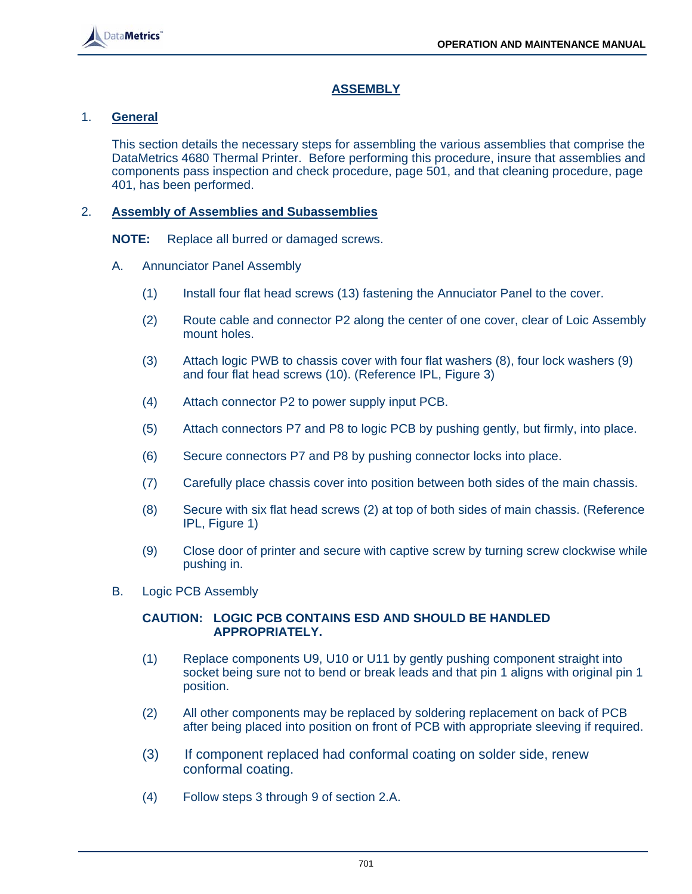

# **ASSEMBLY**

# 1. **General**

 This section details the necessary steps for assembling the various assemblies that comprise the DataMetrics 4680 Thermal Printer. Before performing this procedure, insure that assemblies and components pass inspection and check procedure, page 501, and that cleaning procedure, page 401, has been performed.

# 2. **Assembly of Assemblies and Subassemblies**

**NOTE:** Replace all burred or damaged screws.

- A. Annunciator Panel Assembly
	- (1) Install four flat head screws (13) fastening the Annuciator Panel to the cover.
	- (2) Route cable and connector P2 along the center of one cover, clear of Loic Assembly mount holes.
	- (3) Attach logic PWB to chassis cover with four flat washers (8), four lock washers (9) and four flat head screws (10). (Reference IPL, Figure 3)
	- (4) Attach connector P2 to power supply input PCB.
	- (5) Attach connectors P7 and P8 to logic PCB by pushing gently, but firmly, into place.
	- (6) Secure connectors P7 and P8 by pushing connector locks into place.
	- (7) Carefully place chassis cover into position between both sides of the main chassis.
	- (8) Secure with six flat head screws (2) at top of both sides of main chassis. (Reference IPL, Figure 1)
	- (9) Close door of printer and secure with captive screw by turning screw clockwise while pushing in.
- B. Logic PCB Assembly

#### **CAUTION: LOGIC PCB CONTAINS ESD AND SHOULD BE HANDLED APPROPRIATELY.**

- (1) Replace components U9, U10 or U11 by gently pushing component straight into socket being sure not to bend or break leads and that pin 1 aligns with original pin 1 position.
- (2) All other components may be replaced by soldering replacement on back of PCB after being placed into position on front of PCB with appropriate sleeving if required.
- (3) If component replaced had conformal coating on solder side, renew conformal coating.
- (4) Follow steps 3 through 9 of section 2.A.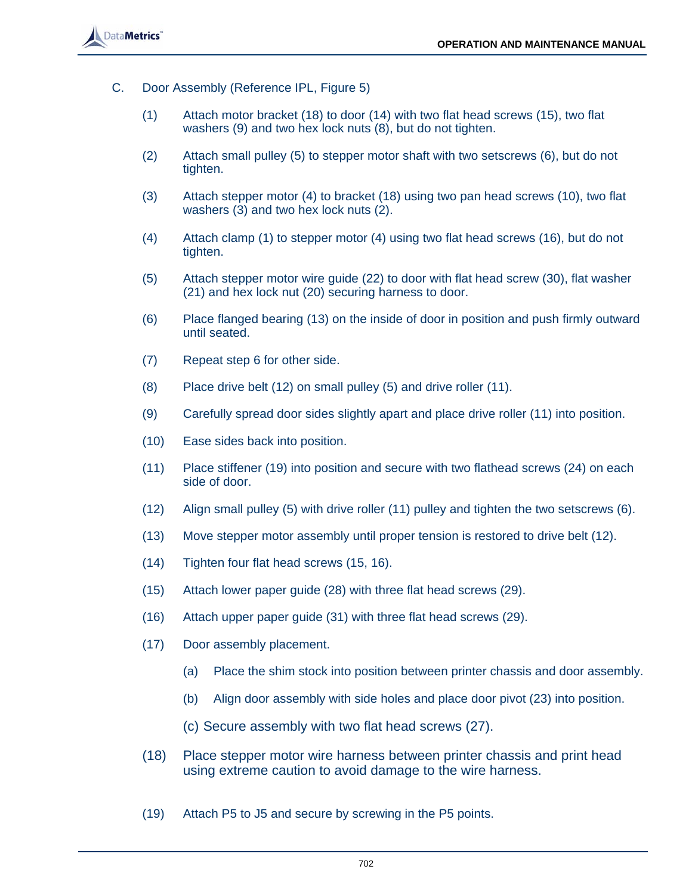

- C. Door Assembly (Reference IPL, Figure 5)
	- (1) Attach motor bracket (18) to door (14) with two flat head screws (15), two flat washers (9) and two hex lock nuts (8), but do not tighten.
	- (2) Attach small pulley (5) to stepper motor shaft with two setscrews (6), but do not tighten.
	- (3) Attach stepper motor (4) to bracket (18) using two pan head screws (10), two flat washers (3) and two hex lock nuts (2).
	- (4) Attach clamp (1) to stepper motor (4) using two flat head screws (16), but do not tighten.
	- (5) Attach stepper motor wire guide (22) to door with flat head screw (30), flat washer (21) and hex lock nut (20) securing harness to door.
	- (6) Place flanged bearing (13) on the inside of door in position and push firmly outward until seated.
	- (7) Repeat step 6 for other side.
	- (8) Place drive belt (12) on small pulley (5) and drive roller (11).
	- (9) Carefully spread door sides slightly apart and place drive roller (11) into position.
	- (10) Ease sides back into position.
	- (11) Place stiffener (19) into position and secure with two flathead screws (24) on each side of door.
	- (12) Align small pulley (5) with drive roller (11) pulley and tighten the two setscrews (6).
	- (13) Move stepper motor assembly until proper tension is restored to drive belt (12).
	- (14) Tighten four flat head screws (15, 16).
	- (15) Attach lower paper guide (28) with three flat head screws (29).
	- (16) Attach upper paper guide (31) with three flat head screws (29).
	- (17) Door assembly placement.
		- (a) Place the shim stock into position between printer chassis and door assembly.
		- (b) Align door assembly with side holes and place door pivot (23) into position.
		- (c) Secure assembly with two flat head screws (27).
	- (18) Place stepper motor wire harness between printer chassis and print head using extreme caution to avoid damage to the wire harness.
	- (19) Attach P5 to J5 and secure by screwing in the P5 points.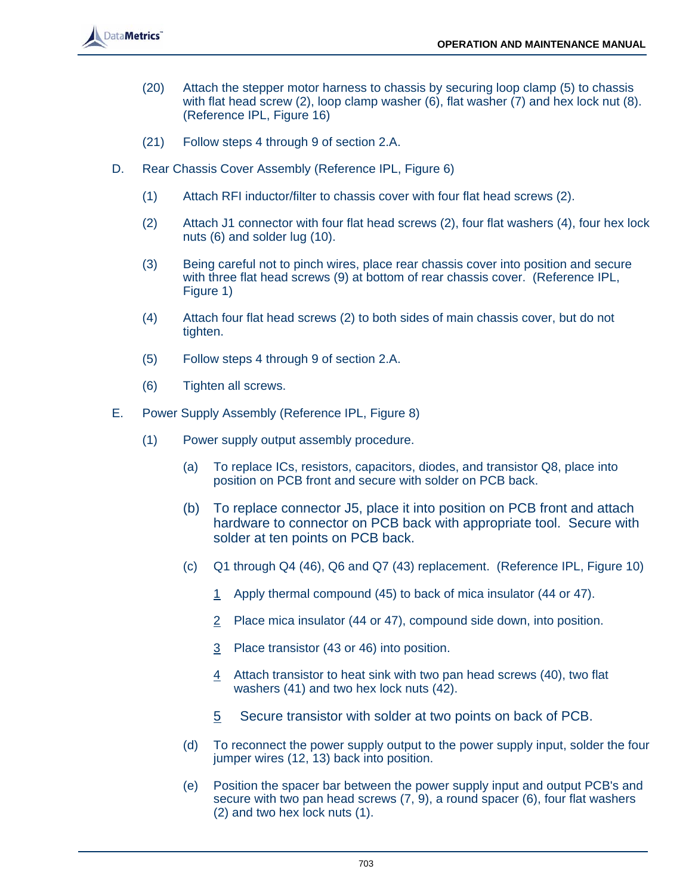

- (20) Attach the stepper motor harness to chassis by securing loop clamp (5) to chassis with flat head screw (2), loop clamp washer (6), flat washer (7) and hex lock nut (8). (Reference IPL, Figure 16)
- (21) Follow steps 4 through 9 of section 2.A.
- D. Rear Chassis Cover Assembly (Reference IPL, Figure 6)
	- (1) Attach RFI inductor/filter to chassis cover with four flat head screws (2).
	- (2) Attach J1 connector with four flat head screws (2), four flat washers (4), four hex lock nuts (6) and solder lug (10).
	- (3) Being careful not to pinch wires, place rear chassis cover into position and secure with three flat head screws (9) at bottom of rear chassis cover. (Reference IPL, Figure 1)
	- (4) Attach four flat head screws (2) to both sides of main chassis cover, but do not tighten.
	- (5) Follow steps 4 through 9 of section 2.A.
	- (6) Tighten all screws.
- E. Power Supply Assembly (Reference IPL, Figure 8)
	- (1) Power supply output assembly procedure.
		- (a) To replace ICs, resistors, capacitors, diodes, and transistor Q8, place into position on PCB front and secure with solder on PCB back.
		- (b) To replace connector J5, place it into position on PCB front and attach hardware to connector on PCB back with appropriate tool. Secure with solder at ten points on PCB back.
		- (c) Q1 through Q4 (46), Q6 and Q7 (43) replacement. (Reference IPL, Figure 10)
			- 1 Apply thermal compound (45) to back of mica insulator (44 or 47).
			- 2 Place mica insulator (44 or 47), compound side down, into position.
			- 3 Place transistor (43 or 46) into position.
			- 4 Attach transistor to heat sink with two pan head screws (40), two flat washers (41) and two hex lock nuts (42).
			- 5 Secure transistor with solder at two points on back of PCB.
		- (d) To reconnect the power supply output to the power supply input, solder the four jumper wires (12, 13) back into position.
		- (e) Position the spacer bar between the power supply input and output PCB's and secure with two pan head screws (7, 9), a round spacer (6), four flat washers (2) and two hex lock nuts (1).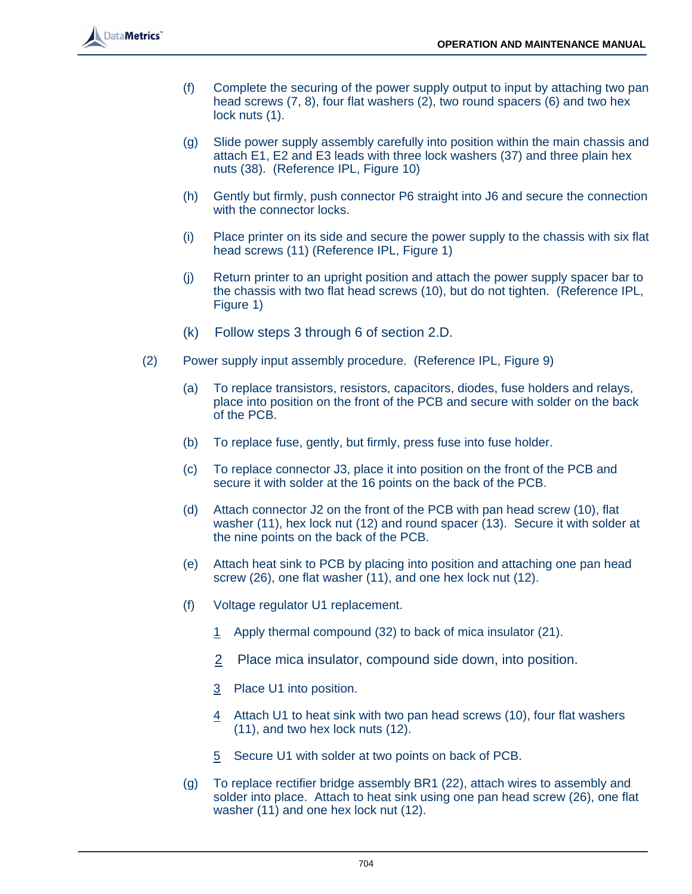- (f) Complete the securing of the power supply output to input by attaching two pan head screws (7, 8), four flat washers (2), two round spacers (6) and two hex lock nuts  $(1)$ .
- (g) Slide power supply assembly carefully into position within the main chassis and attach E1, E2 and E3 leads with three lock washers (37) and three plain hex nuts (38). (Reference IPL, Figure 10)
- (h) Gently but firmly, push connector P6 straight into J6 and secure the connection with the connector locks.
- (i) Place printer on its side and secure the power supply to the chassis with six flat head screws (11) (Reference IPL, Figure 1)
- (j) Return printer to an upright position and attach the power supply spacer bar to the chassis with two flat head screws (10), but do not tighten. (Reference IPL, Figure 1)
- (k) Follow steps 3 through 6 of section 2.D.
- (2) Power supply input assembly procedure. (Reference IPL, Figure 9)
	- (a) To replace transistors, resistors, capacitors, diodes, fuse holders and relays, place into position on the front of the PCB and secure with solder on the back of the PCB.
	- (b) To replace fuse, gently, but firmly, press fuse into fuse holder.
	- (c) To replace connector J3, place it into position on the front of the PCB and secure it with solder at the 16 points on the back of the PCB.
	- (d) Attach connector J2 on the front of the PCB with pan head screw (10), flat washer (11), hex lock nut (12) and round spacer (13). Secure it with solder at the nine points on the back of the PCB.
	- (e) Attach heat sink to PCB by placing into position and attaching one pan head screw (26), one flat washer (11), and one hex lock nut (12).
	- (f) Voltage regulator U1 replacement.
		- 1 Apply thermal compound (32) to back of mica insulator (21).
		- 2 Place mica insulator, compound side down, into position.
		- 3 Place U1 into position.
		- 4 Attach U1 to heat sink with two pan head screws (10), four flat washers (11), and two hex lock nuts (12).
		- 5 Secure U1 with solder at two points on back of PCB.
	- (g) To replace rectifier bridge assembly BR1 (22), attach wires to assembly and solder into place. Attach to heat sink using one pan head screw (26), one flat washer (11) and one hex lock nut (12).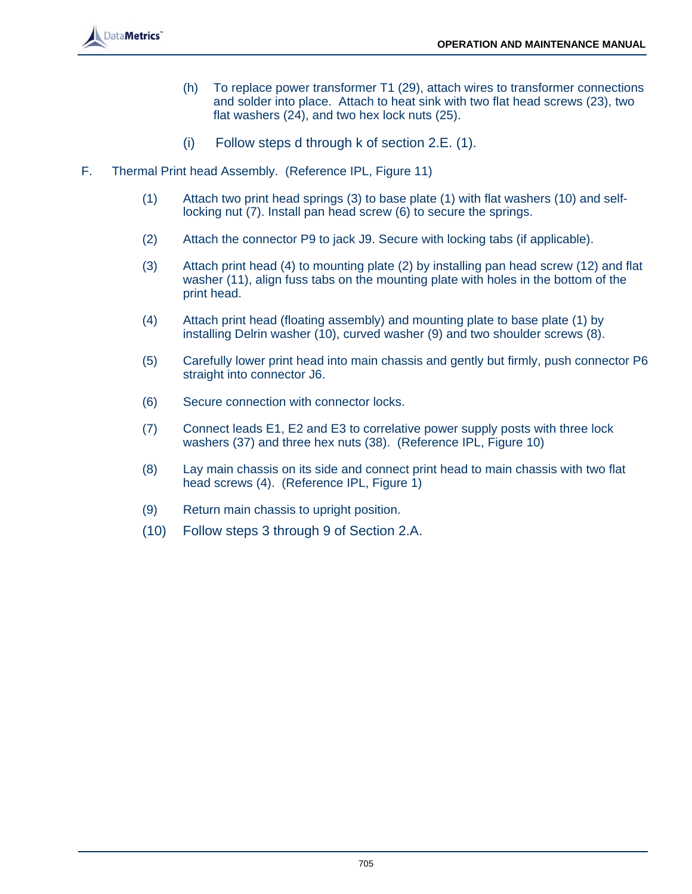- (h) To replace power transformer T1 (29), attach wires to transformer connections and solder into place. Attach to heat sink with two flat head screws (23), two flat washers (24), and two hex lock nuts (25).
- (i) Follow steps d through k of section 2.E. (1).
- F. Thermal Print head Assembly. (Reference IPL, Figure 11)
	- (1) Attach two print head springs (3) to base plate (1) with flat washers (10) and selflocking nut (7). Install pan head screw (6) to secure the springs.
	- (2) Attach the connector P9 to jack J9. Secure with locking tabs (if applicable).
	- (3) Attach print head (4) to mounting plate (2) by installing pan head screw (12) and flat washer (11), align fuss tabs on the mounting plate with holes in the bottom of the print head.
	- (4) Attach print head (floating assembly) and mounting plate to base plate (1) by installing Delrin washer (10), curved washer (9) and two shoulder screws (8).
	- (5) Carefully lower print head into main chassis and gently but firmly, push connector P6 straight into connector J6.
	- (6) Secure connection with connector locks.
	- (7) Connect leads E1, E2 and E3 to correlative power supply posts with three lock washers (37) and three hex nuts (38). (Reference IPL, Figure 10)
	- (8) Lay main chassis on its side and connect print head to main chassis with two flat head screws (4). (Reference IPL, Figure 1)
	- (9) Return main chassis to upright position.
	- (10) Follow steps 3 through 9 of Section 2.A.